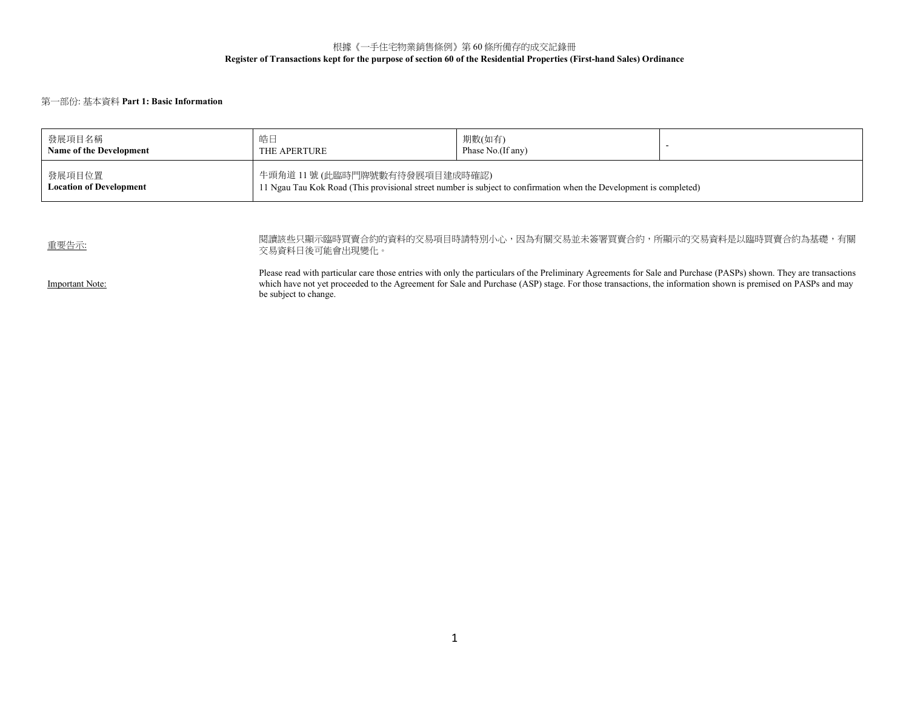## 根據《一手住宅物業銷售條例》第 60 條所備存的成交記錄冊 **Register of Transactions kept for the purpose of section 60 of the Residential Properties (First-hand Sales) Ordinance**

## 第一部份: 基本資料 **Part 1: Basic Information**

| 發展項目名稱                                   | 皓日                            | 期數(如有)                                                                                                             |  |
|------------------------------------------|-------------------------------|--------------------------------------------------------------------------------------------------------------------|--|
| Name of the Development                  | THE APERTURE                  | Phase No.(If any)                                                                                                  |  |
| 發展項目位置<br><b>Location of Development</b> | 牛頭角道 11號 (此臨時門牌號數有待發展項目建成時確認) | 11 Ngau Tau Kok Road (This provisional street number is subject to confirmation when the Development is completed) |  |

| 重要告示:           | 閱讀該些只顯示臨時買賣合約的資料的交易項目時請特別小心,因為有關交易並未簽署買賣合約,所顯示的交易資料是以臨時買賣合約為基礎,有關<br>交易資料日後可能會出現變化。                                                                                                                                                                                                                                                                       |
|-----------------|-----------------------------------------------------------------------------------------------------------------------------------------------------------------------------------------------------------------------------------------------------------------------------------------------------------------------------------------------------------|
| Important Note: | Please read with particular care those entries with only the particulars of the Preliminary Agreements for Sale and Purchase (PASPs) shown. They are transactions<br>which have not yet proceeded to the Agreement for Sale and Purchase (ASP) stage. For those transactions, the information shown is premised on PASPs and may<br>be subject to change. |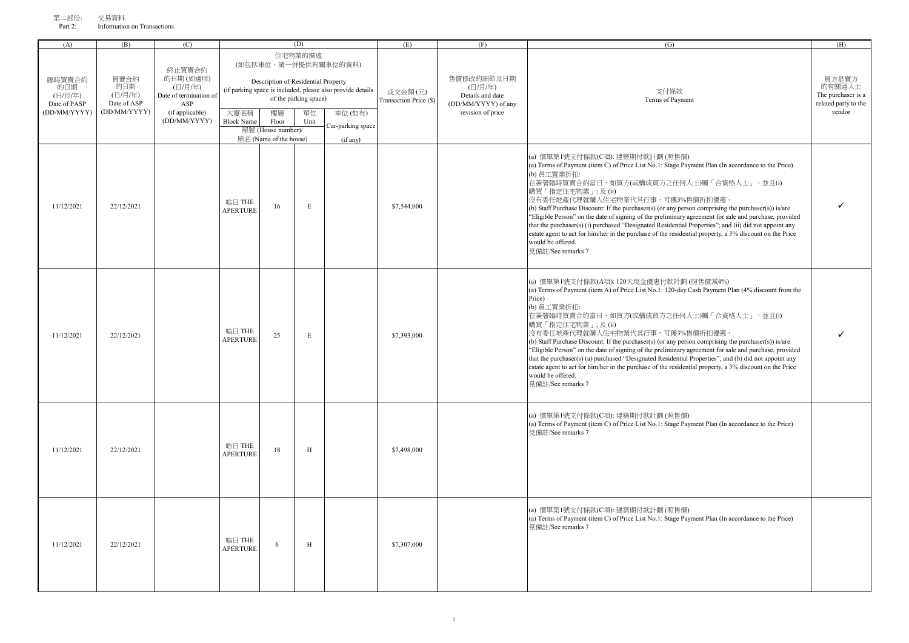| - 一部1分: | 父芴頁科                        |  |
|---------|-----------------------------|--|
| Part 2: | Information on Transactions |  |

| (A)                                                      | (B)                                                   | (C)                                                                                               |                           |                                                                                                    | (D)                                            |                                                                                                                               | (E)                               | (F)                                                                                   | (G)                                                                                                                                                                                                                                                                                                                                                                                                                                                                                                                                                                                                                                                                                                                                                     | (H)                                                                     |
|----------------------------------------------------------|-------------------------------------------------------|---------------------------------------------------------------------------------------------------|---------------------------|----------------------------------------------------------------------------------------------------|------------------------------------------------|-------------------------------------------------------------------------------------------------------------------------------|-----------------------------------|---------------------------------------------------------------------------------------|---------------------------------------------------------------------------------------------------------------------------------------------------------------------------------------------------------------------------------------------------------------------------------------------------------------------------------------------------------------------------------------------------------------------------------------------------------------------------------------------------------------------------------------------------------------------------------------------------------------------------------------------------------------------------------------------------------------------------------------------------------|-------------------------------------------------------------------------|
| 臨時買賣合約<br>的日期<br>(日/月/年)<br>Date of PASP<br>(DD/MM/YYYY) | 買賣合約<br>的日期<br>(日/月/年)<br>Date of ASP<br>(DD/MM/YYYY) | 終止買賣合約<br>的日期(如適用)<br>(日/月/年)<br>Date of termination of<br>ASP<br>(if applicable)<br>(DD/MM/YYYY) | 大廈名稱<br><b>Block Name</b> | Description of Residential Property<br>樓層<br>Floor<br>屋號 (House number)/<br>屋名 (Name of the house) | 住宅物業的描述<br>of the parking space)<br>單位<br>Unit | (如包括車位,請一併提供有關車位的資料)<br>(if parking space is included, please also provide details<br>車位(如有)<br>Car-parking space<br>(if any) | 成交金額(元)<br>Transaction Price (\$) | 售價修改的細節及日期<br>(日/月/年)<br>Details and date<br>(DD/MM/YYYY) of any<br>revision of price | 支付條款<br>Terms of Payment                                                                                                                                                                                                                                                                                                                                                                                                                                                                                                                                                                                                                                                                                                                                | 買方是賣方<br>的有關連人士<br>The purchaser is a<br>related party to the<br>vendor |
| 11/12/2021                                               | 22/12/2021                                            |                                                                                                   | 皓日 THE<br>APERTURE        | 16                                                                                                 | $\mathbf E$                                    |                                                                                                                               | \$7,544,000                       |                                                                                       | (a) 價單第1號支付條款(C項): 建築期付款計劃 (照售價)<br>(a) Terms of Payment (item C) of Price List No.1: Stage Payment Plan (In accordance to the Price)<br>(b) 員工置業折扣:<br>在簽署臨時買賣合約當日,如買方(或構成買方之任何人士)屬「合資格人士」,並且(i)<br>購買「指定住宅物業」;及(ii)<br>沒有委任地產代理就購入住宅物業代其行事,可獲3%售價折扣優惠。<br>(b) Staff Purchase Discount: If the purchaser(s) (or any person comprising the purchaser(s)) is/are<br>"Eligible Person" on the date of signing of the preliminary agreement for sale and purchase, provided<br>that the purchaser(s) (i) purchased "Designated Residential Properties"; and (ii) did not appoint any<br>estate agent to act for him/her in the purchase of the residential property, a 3% discount on the Price<br>would be offered.<br>見備註/See remarks 7                  |                                                                         |
| 11/12/2021                                               | 22/12/2021                                            |                                                                                                   | 皓日 THE<br><b>APERTURE</b> | 25                                                                                                 | $\mathbf E$                                    |                                                                                                                               | \$7,393,000                       |                                                                                       | (a) 價單第1號支付條款(A項): 120天現金優惠付款計劃 (照售價減4%)<br>(a) Terms of Payment (item A) of Price List No.1: 120-day Cash Payment Plan (4% discount from the<br>Price)<br>(b) 員工置業折扣:<br>在簽署臨時買賣合約當日,如買方(或構成買方之任何人士)屬「合資格人士」,並且(i)<br>購買「指定住宅物業」;及(ii)<br>沒有委任地產代理就購入住宅物業代其行事,可獲3%售價折扣優惠。<br>(b) Staff Purchase Discount: If the purchaser(s) (or any person comprising the purchaser(s)) is/are<br>"Eligible Person" on the date of signing of the preliminary agreement for sale and purchase, provided<br>that the purchaser(s) (a) purchased "Designated Residential Properties"; and (b) did not appoint any<br>estate agent to act for him/her in the purchase of the residential property, a 3% discount on the Price<br>would be offered.<br>見備註/See remarks 7 |                                                                         |
| 11/12/2021                                               | 22/12/2021                                            |                                                                                                   | 皓日 THE<br><b>APERTURE</b> | 18                                                                                                 | H                                              |                                                                                                                               | \$7,498,000                       |                                                                                       | (a) 價單第1號支付條款(C項): 建築期付款計劃 (照售價)<br>(a) Terms of Payment (item C) of Price List No.1: Stage Payment Plan (In accordance to the Price)<br>見備註/See remarks 7                                                                                                                                                                                                                                                                                                                                                                                                                                                                                                                                                                                              |                                                                         |
| 11/12/2021                                               | 22/12/2021                                            |                                                                                                   | 皓日 THE<br>APERTURE        | 6                                                                                                  | H                                              |                                                                                                                               | \$7,307,000                       |                                                                                       | (a) 價單第1號支付條款(C項): 建築期付款計劃 (照售價)<br>(a) Terms of Payment (item C) of Price List No.1: Stage Payment Plan (In accordance to the Price)<br>見備詳/See remarks 7                                                                                                                                                                                                                                                                                                                                                                                                                                                                                                                                                                                              |                                                                         |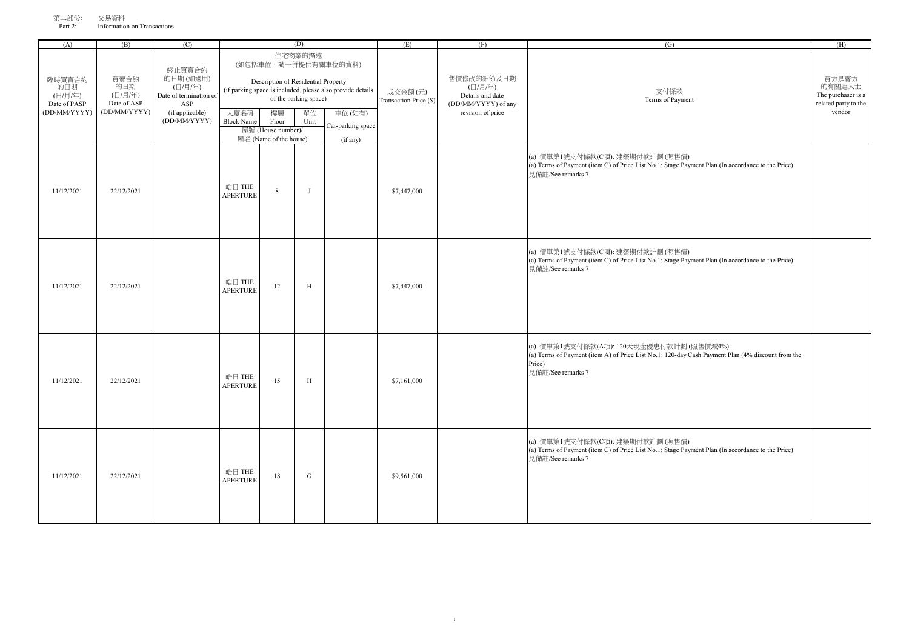| (A)                                                                                                               | (B)                                                                                                                        | (C)                                                                               |                           |                                           | (D)                              |                                                                                    | (E)                                                                                                                        | (F) | (G)                                                                                                                                                                          | (H)                                                                     |
|-------------------------------------------------------------------------------------------------------------------|----------------------------------------------------------------------------------------------------------------------------|-----------------------------------------------------------------------------------|---------------------------|-------------------------------------------|----------------------------------|------------------------------------------------------------------------------------|----------------------------------------------------------------------------------------------------------------------------|-----|------------------------------------------------------------------------------------------------------------------------------------------------------------------------------|-------------------------------------------------------------------------|
| 買賣合約<br>臨時買賣合約<br>的日期<br>的日期<br>(日/月/年)<br>(日/月/年)<br>Date of PASP<br>Date of ASP<br>(DD/MM/YYYY)<br>(DD/MM/YYYY) |                                                                                                                            | 終止買賣合約<br>的日期(如適用)<br>(日/月/年)<br>Date of termination of<br>ASP<br>(if applicable) |                           | Description of Residential Property<br>樓層 | 住宅物業的描述<br>of the parking space) | (如包括車位,請一併提供有關車位的資料)<br>(if parking space is included, please also provide details | 售價修改的細節及日期<br>(日/月/年)<br>成交金額(元)<br>Details and date<br>Transaction Price (\$)<br>(DD/MM/YYYY) of any<br>revision of price |     | 支付條款<br>Terms of Payment                                                                                                                                                     | 買方是賣方<br>的有關連人士<br>The purchaser is a<br>related party to the<br>vendor |
|                                                                                                                   | 大廈名稱<br>單位<br>車位(如有)<br>(DD/MM/YYYY)<br><b>Block Name</b><br>Floor<br>Unit<br>屋號 (House number)/<br>屋名 (Name of the house) |                                                                                   |                           | Car-parking space<br>(if any)             |                                  |                                                                                    |                                                                                                                            |     |                                                                                                                                                                              |                                                                         |
| 11/12/2021                                                                                                        | 22/12/2021                                                                                                                 |                                                                                   | 皓日 THE<br><b>APERTURE</b> | $8\,$                                     | $\mathbf{J}$                     |                                                                                    | \$7,447,000                                                                                                                |     | (a) 價單第1號支付條款(C項): 建築期付款計劃 (照售價)<br>(a) Terms of Payment (item C) of Price List No.1: Stage Payment Plan (In accordance to the Price)<br>見備註/See remarks 7                   |                                                                         |
| 11/12/2021                                                                                                        | 22/12/2021                                                                                                                 |                                                                                   | 皓日 THE<br><b>APERTURE</b> | 12                                        | $\, {\rm H}$                     |                                                                                    | \$7,447,000                                                                                                                |     | (a) 價單第1號支付條款(C項): 建築期付款計劃 (照售價)<br>(a) Terms of Payment (item C) of Price List No.1: Stage Payment Plan (In accordance to the Price)<br>見備註/See remarks 7                   |                                                                         |
| 11/12/2021                                                                                                        | 22/12/2021                                                                                                                 |                                                                                   | 皓日 THE<br><b>APERTURE</b> | 15                                        | $\, {\rm H}$                     |                                                                                    | \$7,161,000                                                                                                                |     | (a) 價單第1號支付條款(A項): 120天現金優惠付款計劃 (照售價減4%)<br>(a) Terms of Payment (item A) of Price List No.1: 120-day Cash Payment Plan (4% discount from the<br>Price)<br>見備註/See remarks 7 |                                                                         |
| 11/12/2021                                                                                                        | 22/12/2021                                                                                                                 |                                                                                   | 皓日 THE<br><b>APERTURE</b> | 18                                        | G                                |                                                                                    | \$9,561,000                                                                                                                |     | (a) 價單第1號支付條款(C項): 建築期付款計劃 (照售價)<br>(a) Terms of Payment (item C) of Price List No.1: Stage Payment Plan (In accordance to the Price)<br>見備註/See remarks 7                   |                                                                         |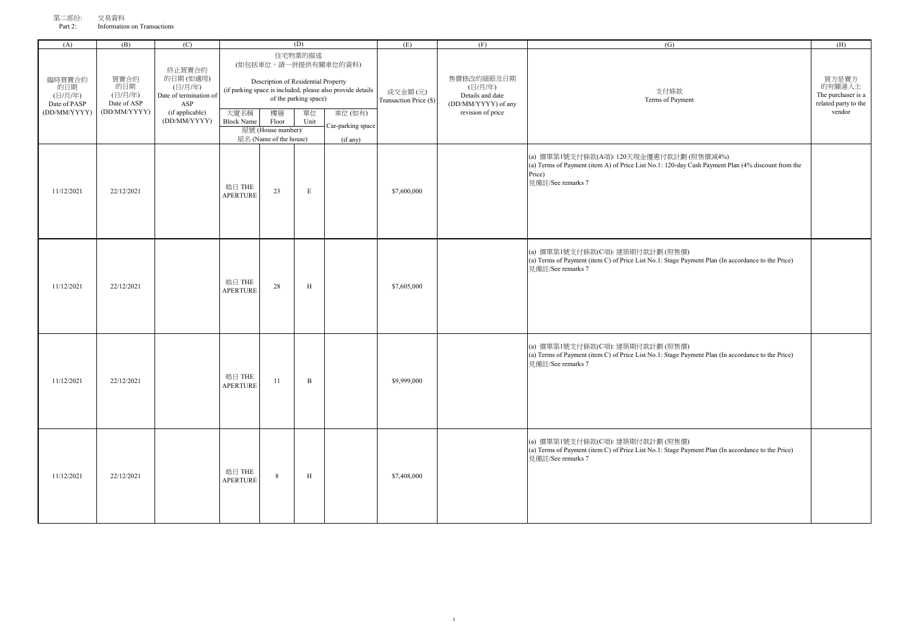| (A)                                                      | (B)                                                   | (C)                                                                                               |                           |                                                                                                    | (D)                                            |                                                                                                                   | (E)                               | (F)                                                                                   | (G)                                                                                                                                                                          | (H)                                                                     |
|----------------------------------------------------------|-------------------------------------------------------|---------------------------------------------------------------------------------------------------|---------------------------|----------------------------------------------------------------------------------------------------|------------------------------------------------|-------------------------------------------------------------------------------------------------------------------|-----------------------------------|---------------------------------------------------------------------------------------|------------------------------------------------------------------------------------------------------------------------------------------------------------------------------|-------------------------------------------------------------------------|
| 臨時買賣合約<br>的日期<br>(日/月/年)<br>Date of PASP<br>(DD/MM/YYYY) | 買賣合約<br>的日期<br>(日/月/年)<br>Date of ASP<br>(DD/MM/YYYY) | 終止買賣合約<br>的日期(如適用)<br>(日/月/年)<br>Date of termination of<br>ASP<br>(if applicable)<br>(DD/MM/YYYY) | 大廈名稱<br><b>Block Name</b> | Description of Residential Property<br>樓層<br>Floor<br>屋號 (House number)/<br>屋名 (Name of the house) | 住宅物業的描述<br>of the parking space)<br>單位<br>Unit | (如包括車位,請一併提供有關車位的資料)<br>(if parking space is included, please also provide details<br>車位(如有)<br>Car-parking space | 成交金額(元)<br>Transaction Price (\$) | 售價修改的細節及日期<br>(日/月/年)<br>Details and date<br>(DD/MM/YYYY) of any<br>revision of price | 支付條款<br>Terms of Payment                                                                                                                                                     | 買方是賣方<br>的有關連人士<br>The purchaser is a<br>related party to the<br>vendor |
| 11/12/2021                                               | 22/12/2021                                            |                                                                                                   | 皓日 THE<br><b>APERTURE</b> | 23                                                                                                 | E                                              | (if any)                                                                                                          | \$7,600,000                       |                                                                                       | (a) 價單第1號支付條款(A項): 120天現金優惠付款計劃 (照售價減4%)<br>(a) Terms of Payment (item A) of Price List No.1: 120-day Cash Payment Plan (4% discount from the<br>Price)<br>見備註/See remarks 7 |                                                                         |
| 11/12/2021                                               | 22/12/2021                                            |                                                                                                   | 皓日 THE<br><b>APERTURE</b> | 28                                                                                                 | $\, {\rm H}$                                   |                                                                                                                   | \$7,605,000                       |                                                                                       | (a) 價單第1號支付條款(C項): 建築期付款計劃 (照售價)<br>(a) Terms of Payment (item C) of Price List No.1: Stage Payment Plan (In accordance to the Price)<br>見備註/See remarks 7                   |                                                                         |
| 11/12/2021                                               | 22/12/2021                                            |                                                                                                   | 皓日 THE<br><b>APERTURE</b> | 11                                                                                                 | $\, {\bf B}$                                   |                                                                                                                   | \$9,999,000                       |                                                                                       | (a) 價單第1號支付條款(C項): 建築期付款計劃 (照售價)<br>(a) Terms of Payment (item C) of Price List No.1: Stage Payment Plan (In accordance to the Price)<br>見備註/See remarks 7                   |                                                                         |
| 11/12/2021                                               | 22/12/2021                                            |                                                                                                   | 皓日 THE<br><b>APERTURE</b> | 8                                                                                                  | H                                              |                                                                                                                   | \$7,408,000                       |                                                                                       | (a) 價單第1號支付條款(C項): 建築期付款計劃 (照售價)<br>(a) Terms of Payment (item C) of Price List No.1: Stage Payment Plan (In accordance to the Price)<br>見備許/See remarks 7                   |                                                                         |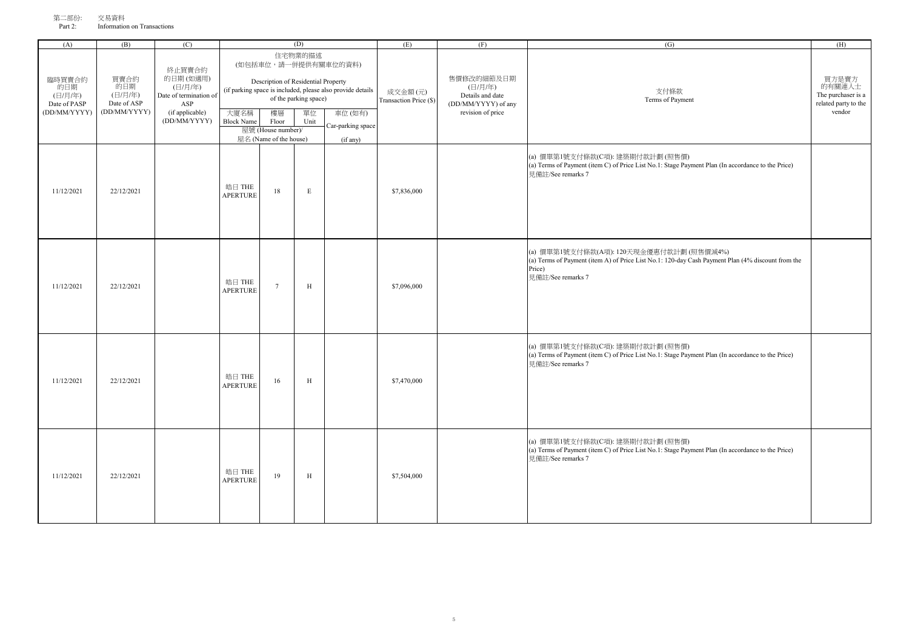| (A)                                                      | (B)                                                   | (C)                                                                                               |                           |                                                                          | (D)                                            |                                                                                                                   | (E)                               | (F)                                                                                   | (G)                                                                                                                                                                          | (H)                                                                     |
|----------------------------------------------------------|-------------------------------------------------------|---------------------------------------------------------------------------------------------------|---------------------------|--------------------------------------------------------------------------|------------------------------------------------|-------------------------------------------------------------------------------------------------------------------|-----------------------------------|---------------------------------------------------------------------------------------|------------------------------------------------------------------------------------------------------------------------------------------------------------------------------|-------------------------------------------------------------------------|
| 臨時買賣合約<br>的日期<br>(日/月/年)<br>Date of PASP<br>(DD/MM/YYYY) | 買賣合約<br>的日期<br>(日/月/年)<br>Date of ASP<br>(DD/MM/YYYY) | 終止買賣合約<br>的日期(如適用)<br>(日/月/年)<br>Date of termination of<br>ASP<br>(if applicable)<br>(DD/MM/YYYY) | 大廈名稱<br><b>Block Name</b> | Description of Residential Property<br>樓層<br>Floor<br>屋號 (House number)/ | 住宅物業的描述<br>of the parking space)<br>單位<br>Unit | (如包括車位,請一併提供有關車位的資料)<br>(if parking space is included, please also provide details<br>車位(如有)<br>Car-parking space | 成交金額(元)<br>Transaction Price (\$) | 售價修改的細節及日期<br>(日/月/年)<br>Details and date<br>(DD/MM/YYYY) of any<br>revision of price | 支付條款<br>Terms of Payment                                                                                                                                                     | 買方是賣方<br>的有關連人士<br>The purchaser is a<br>related party to the<br>vendor |
|                                                          |                                                       |                                                                                                   |                           | 屋名 (Name of the house)                                                   |                                                | (if any)                                                                                                          |                                   |                                                                                       |                                                                                                                                                                              |                                                                         |
| 11/12/2021                                               | 22/12/2021                                            |                                                                                                   | 皓日 THE<br><b>APERTURE</b> | 18                                                                       | $\mathbf E$                                    |                                                                                                                   | \$7,836,000                       |                                                                                       | (a) 價單第1號支付條款(C項): 建築期付款計劃 (照售價)<br>(a) Terms of Payment (item C) of Price List No.1: Stage Payment Plan (In accordance to the Price)<br>見備註/See remarks 7                   |                                                                         |
| 11/12/2021                                               | 22/12/2021                                            |                                                                                                   | 皓日 THE<br><b>APERTURE</b> | $\overline{7}$                                                           | $\, {\rm H}$                                   |                                                                                                                   | \$7,096,000                       |                                                                                       | (a) 價單第1號支付條款(A項): 120天現金優惠付款計劃 (照售價減4%)<br>(a) Terms of Payment (item A) of Price List No.1: 120-day Cash Payment Plan (4% discount from the<br>Price)<br>見備計/See remarks 7 |                                                                         |
| 11/12/2021                                               | 22/12/2021                                            |                                                                                                   | 皓日 THE<br><b>APERTURE</b> | 16                                                                       | $\, {\rm H}$                                   |                                                                                                                   | \$7,470,000                       |                                                                                       | (a) 價單第1號支付條款(C項): 建築期付款計劃 (照售價)<br>(a) Terms of Payment (item C) of Price List No.1: Stage Payment Plan (In accordance to the Price)<br>見備註/See remarks 7                   |                                                                         |
| 11/12/2021                                               | 22/12/2021                                            |                                                                                                   | 皓日 THE<br><b>APERTURE</b> | 19                                                                       | $\,$ H                                         |                                                                                                                   | \$7,504,000                       |                                                                                       | (a) 價單第1號支付條款(C項): 建築期付款計劃 (照售價)<br>(a) Terms of Payment (item C) of Price List No.1: Stage Payment Plan (In accordance to the Price)<br>見備註/See remarks 7                   |                                                                         |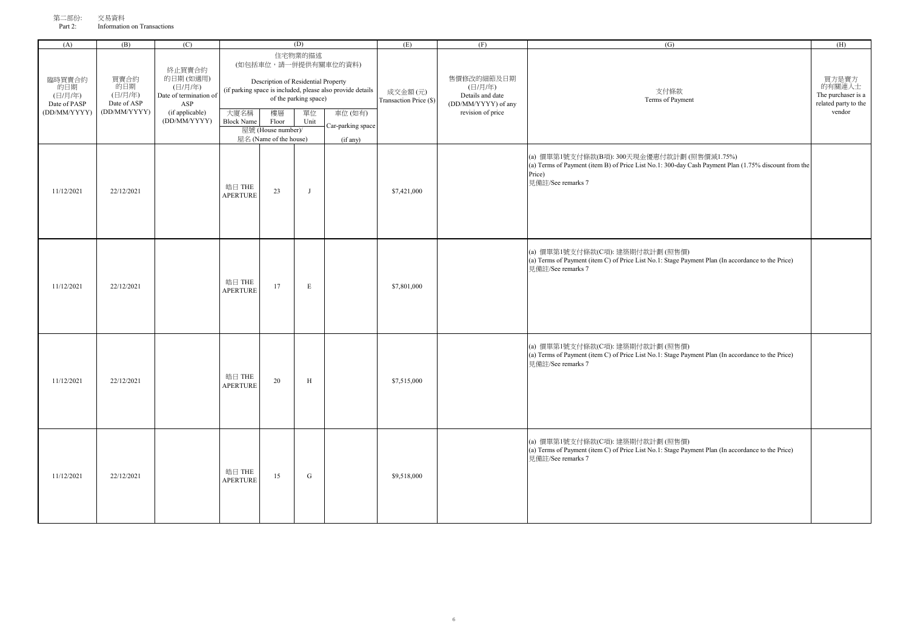| (A)                                                      | (B)                                                   | (C)                                                                                               |                                                                                                                                                                                                                                                                              |                        | (D)                               |                                                                                       | (E)                      | (F)                                                                     | (G)                                                                                                                                                                                | (H) |
|----------------------------------------------------------|-------------------------------------------------------|---------------------------------------------------------------------------------------------------|------------------------------------------------------------------------------------------------------------------------------------------------------------------------------------------------------------------------------------------------------------------------------|------------------------|-----------------------------------|---------------------------------------------------------------------------------------|--------------------------|-------------------------------------------------------------------------|------------------------------------------------------------------------------------------------------------------------------------------------------------------------------------|-----|
| 臨時買賣合約<br>的日期<br>(日/月/年)<br>Date of PASP<br>(DD/MM/YYYY) | 買賣合約<br>的日期<br>(日/月/年)<br>Date of ASP<br>(DD/MM/YYYY) | 終止買賣合約<br>的日期(如適用)<br>(日/月/年)<br>Date of termination of<br>ASP<br>(if applicable)<br>(DD/MM/YYYY) | 住宅物業的描述<br>(如包括車位,請一併提供有關車位的資料)<br>Description of Residential Property<br>(if parking space is included, please also provide details<br>of the parking space)<br>大廈名稱<br>樓層<br>車位(如有)<br>單位<br><b>Block Name</b><br>Floor<br>Unit<br>Car-parking space<br>屋號 (House number)/ |                        | 成交金額(元)<br>Transaction Price (\$) | 售價修改的細節及日期<br>(日/月/年)<br>Details and date<br>(DD/MM/YYYY) of any<br>revision of price | 支付條款<br>Terms of Payment | 買方是賣方<br>的有關連人士<br>The purchaser is a<br>related party to the<br>vendor |                                                                                                                                                                                    |     |
|                                                          |                                                       |                                                                                                   |                                                                                                                                                                                                                                                                              | 屋名 (Name of the house) |                                   |                                                                                       |                          |                                                                         |                                                                                                                                                                                    |     |
| 11/12/2021                                               | 22/12/2021                                            |                                                                                                   | 皓日 THE<br><b>APERTURE</b>                                                                                                                                                                                                                                                    | 23                     | $\mathbf{J}$                      | (if any)                                                                              | \$7,421,000              |                                                                         | (a) 價單第1號支付條款(B項): 300天現金優惠付款計劃 (照售價減1.75%)<br>(a) Terms of Payment (item B) of Price List No.1: 300-day Cash Payment Plan (1.75% discount from the<br>Price)<br>見備註/See remarks 7 |     |
| 11/12/2021                                               | 22/12/2021                                            |                                                                                                   | 皓日 THE<br><b>APERTURE</b>                                                                                                                                                                                                                                                    | 17                     | E                                 |                                                                                       | \$7,801,000              |                                                                         | (a) 價單第1號支付條款(C項): 建築期付款計劃 (照售價)<br>(a) Terms of Payment (item C) of Price List No.1: Stage Payment Plan (In accordance to the Price)<br>見備計/See remarks 7                         |     |
| 11/12/2021                                               | 22/12/2021                                            |                                                                                                   | 皓日 THE<br><b>APERTURE</b>                                                                                                                                                                                                                                                    | 20                     | H                                 |                                                                                       | \$7,515,000              |                                                                         | (a) 價單第1號支付條款(C項): 建築期付款計劃 (照售價)<br>(a) Terms of Payment (item C) of Price List No.1: Stage Payment Plan (In accordance to the Price)<br>見備註/See remarks 7                         |     |
| 11/12/2021                                               | 22/12/2021                                            |                                                                                                   | 皓日 THE<br><b>APERTURE</b>                                                                                                                                                                                                                                                    | 15                     | ${\bf G}$                         |                                                                                       | \$9,518,000              |                                                                         | (a) 價單第1號支付條款(C項): 建築期付款計劃 (照售價)<br>(a) Terms of Payment (item C) of Price List No.1: Stage Payment Plan (In accordance to the Price)<br>見備註/See remarks 7                         |     |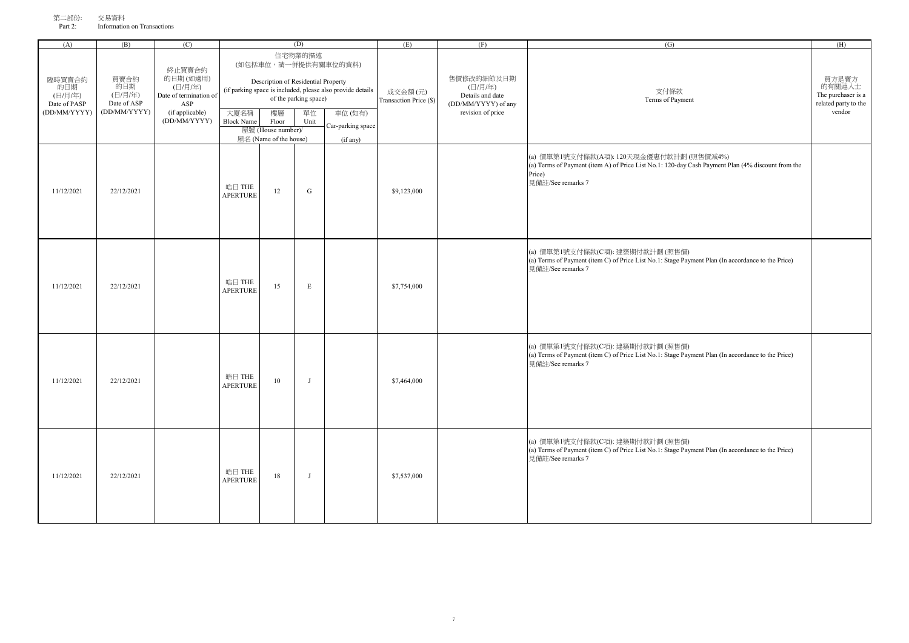| (A)                                                      | (B)                                                   | (C)                                                                                                                                                                                                                                                                              |                           |                                                       | (D)                                                                                   |                               | (E)                                                                     | (F) | (G)                                                                                                                                                                          | (H) |
|----------------------------------------------------------|-------------------------------------------------------|----------------------------------------------------------------------------------------------------------------------------------------------------------------------------------------------------------------------------------------------------------------------------------|---------------------------|-------------------------------------------------------|---------------------------------------------------------------------------------------|-------------------------------|-------------------------------------------------------------------------|-----|------------------------------------------------------------------------------------------------------------------------------------------------------------------------------|-----|
| 臨時買賣合約<br>的日期<br>(日/月/年)<br>Date of PASP<br>(DD/MM/YYYY) | 買賣合約<br>的日期<br>(日/月/年)<br>Date of ASP<br>(DD/MM/YYYY) | 住宅物業的描述<br>(如包括車位,請一併提供有關車位的資料)<br>終止買賣合約<br>的日期(如適用)<br>Description of Residential Property<br>(日/月/年)<br>(if parking space is included, please also provide details<br>Date of termination of<br>of the parking space)<br>ASP<br>(if applicable)<br>大廈名稱<br>樓層<br>車位(如有)<br>單位 |                           | 成交金額(元)<br>Transaction Price (\$)                     | 售價修改的細節及日期<br>(日/月/年)<br>Details and date<br>(DD/MM/YYYY) of any<br>revision of price | 支付條款<br>Terms of Payment      | 買方是賣方<br>的有關連人士<br>The purchaser is a<br>related party to the<br>vendor |     |                                                                                                                                                                              |     |
|                                                          |                                                       | (DD/MM/YYYY)                                                                                                                                                                                                                                                                     | <b>Block Name</b>         | Floor<br>屋號 (House number)/<br>屋名 (Name of the house) | Unit                                                                                  | Car-parking space<br>(if any) |                                                                         |     |                                                                                                                                                                              |     |
| 11/12/2021                                               | 22/12/2021                                            |                                                                                                                                                                                                                                                                                  | 皓日 THE<br><b>APERTURE</b> | 12                                                    | ${\bf G}$                                                                             |                               | \$9,123,000                                                             |     | (a) 價單第1號支付條款(A項): 120天現金優惠付款計劃 (照售價減4%)<br>(a) Terms of Payment (item A) of Price List No.1: 120-day Cash Payment Plan (4% discount from the<br>Price)<br>見備註/See remarks 7 |     |
| 11/12/2021                                               | 22/12/2021                                            |                                                                                                                                                                                                                                                                                  | 皓日 THE<br><b>APERTURE</b> | 15                                                    | $\,$ E                                                                                |                               | \$7,754,000                                                             |     | (a) 價單第1號支付條款(C項): 建築期付款計劃 (照售價)<br>(a) Terms of Payment (item C) of Price List No.1: Stage Payment Plan (In accordance to the Price)<br>見備註/See remarks 7                   |     |
| 11/12/2021                                               | 22/12/2021                                            |                                                                                                                                                                                                                                                                                  | 皓日 THE<br><b>APERTURE</b> | 10                                                    | $\mathbf{J}$                                                                          |                               | \$7,464,000                                                             |     | (a) 價單第1號支付條款(C項): 建築期付款計劃 (照售價)<br>(a) Terms of Payment (item C) of Price List No.1: Stage Payment Plan (In accordance to the Price)<br>見備註/See remarks 7                   |     |
| 11/12/2021                                               | 22/12/2021                                            |                                                                                                                                                                                                                                                                                  | 皓日 THE<br><b>APERTURE</b> | 18                                                    | J                                                                                     |                               | \$7,537,000                                                             |     | (a) 價單第1號支付條款(C項): 建築期付款計劃 (照售價)<br>(a) Terms of Payment (item C) of Price List No.1: Stage Payment Plan (In accordance to the Price)<br>見備註/See remarks 7                   |     |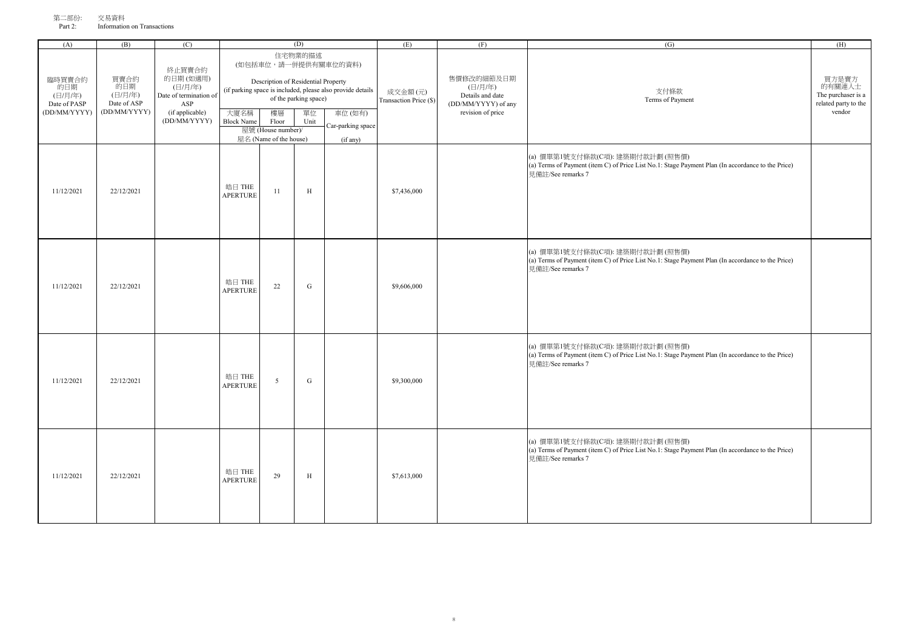| (A)                                                      | (B)                                                   | (C)                                                                                               |                                                                                                                                                                                                                                                        |                              | (D)                               |                                                                                       | (E)                      | (F)                                                                     | (G)                                                                                                                                                        | (H) |
|----------------------------------------------------------|-------------------------------------------------------|---------------------------------------------------------------------------------------------------|--------------------------------------------------------------------------------------------------------------------------------------------------------------------------------------------------------------------------------------------------------|------------------------------|-----------------------------------|---------------------------------------------------------------------------------------|--------------------------|-------------------------------------------------------------------------|------------------------------------------------------------------------------------------------------------------------------------------------------------|-----|
| 臨時買賣合約<br>的日期<br>(日/月/年)<br>Date of PASP<br>(DD/MM/YYYY) | 買賣合約<br>的日期<br>(日/月/年)<br>Date of ASP<br>(DD/MM/YYYY) | 終止買賣合約<br>的日期(如適用)<br>(日/月/年)<br>Date of termination of<br>ASP<br>(if applicable)<br>(DD/MM/YYYY) | 住宅物業的描述<br>(如包括車位,請一併提供有關車位的資料)<br>Description of Residential Property<br>(if parking space is included, please also provide details<br>of the parking space)<br>大廈名稱<br>樓層<br>車位(如有)<br>單位<br><b>Block Name</b><br>Floor<br>Unit<br>Car-parking space |                              | 成交金額(元)<br>Transaction Price (\$) | 售價修改的細節及日期<br>(日/月/年)<br>Details and date<br>(DD/MM/YYYY) of any<br>revision of price | 支付條款<br>Terms of Payment | 買方是賣方<br>的有關連人士<br>The purchaser is a<br>related party to the<br>vendor |                                                                                                                                                            |     |
|                                                          |                                                       |                                                                                                   |                                                                                                                                                                                                                                                        | 屋號 (House number)/           |                                   |                                                                                       |                          |                                                                         |                                                                                                                                                            |     |
| 11/12/2021                                               | 22/12/2021                                            |                                                                                                   | 皓日 THE<br><b>APERTURE</b>                                                                                                                                                                                                                              | 屋名 (Name of the house)<br>11 | $\,$ H                            | (if any)                                                                              | \$7,436,000              |                                                                         | (a) 價單第1號支付條款(C項): 建築期付款計劃 (照售價)<br>(a) Terms of Payment (item C) of Price List No.1: Stage Payment Plan (In accordance to the Price)<br>見備計/See remarks 7 |     |
| 11/12/2021                                               | 22/12/2021                                            |                                                                                                   | 皓日 THE<br><b>APERTURE</b>                                                                                                                                                                                                                              | 22                           | ${\bf G}$                         |                                                                                       | \$9,606,000              |                                                                         | (a) 價單第1號支付條款(C項): 建築期付款計劃 (照售價)<br>(a) Terms of Payment (item C) of Price List No.1: Stage Payment Plan (In accordance to the Price)<br>見備計/See remarks 7 |     |
| 11/12/2021                                               | 22/12/2021                                            |                                                                                                   | 皓日 THE<br><b>APERTURE</b>                                                                                                                                                                                                                              | 5                            | ${\bf G}$                         |                                                                                       | \$9,300,000              |                                                                         | (a) 價單第1號支付條款(C項): 建築期付款計劃 (照售價)<br>(a) Terms of Payment (item C) of Price List No.1: Stage Payment Plan (In accordance to the Price)<br>見備註/See remarks 7 |     |
| 11/12/2021                                               | 22/12/2021                                            |                                                                                                   | 皓日 THE<br><b>APERTURE</b>                                                                                                                                                                                                                              | 29                           | $\,$ H                            |                                                                                       | \$7,613,000              |                                                                         | (a) 價單第1號支付條款(C項): 建築期付款計劃 (照售價)<br>(a) Terms of Payment (item C) of Price List No.1: Stage Payment Plan (In accordance to the Price)<br>見備註/See remarks 7 |     |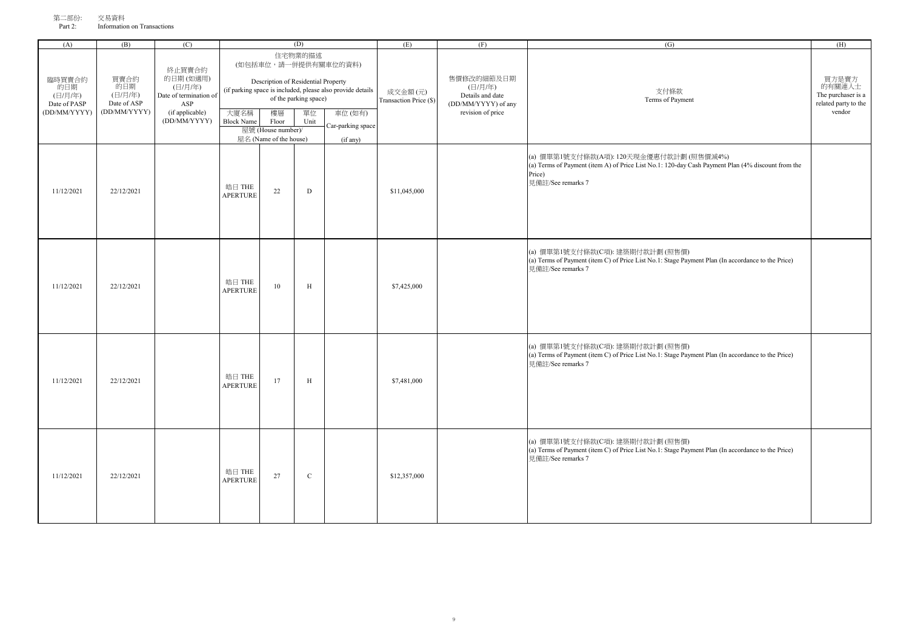| (A)                                                      | (B)                                                   | (C)                                                                                               |                           |                                                                                                    | (D)                                            |                                                                                                                               | (E)                               | (F)                                                                                   | (G)                                                                                                                                                                          | (H)                                                                     |
|----------------------------------------------------------|-------------------------------------------------------|---------------------------------------------------------------------------------------------------|---------------------------|----------------------------------------------------------------------------------------------------|------------------------------------------------|-------------------------------------------------------------------------------------------------------------------------------|-----------------------------------|---------------------------------------------------------------------------------------|------------------------------------------------------------------------------------------------------------------------------------------------------------------------------|-------------------------------------------------------------------------|
| 臨時買賣合約<br>的日期<br>(日/月/年)<br>Date of PASP<br>(DD/MM/YYYY) | 買賣合約<br>的日期<br>(日/月/年)<br>Date of ASP<br>(DD/MM/YYYY) | 終止買賣合約<br>的日期(如適用)<br>(日/月/年)<br>Date of termination of<br>ASP<br>(if applicable)<br>(DD/MM/YYYY) | 大廈名稱<br><b>Block Name</b> | Description of Residential Property<br>樓層<br>Floor<br>屋號 (House number)/<br>屋名 (Name of the house) | 住宅物業的描述<br>of the parking space)<br>單位<br>Unit | (如包括車位,請一併提供有關車位的資料)<br>(if parking space is included, please also provide details<br>車位(如有)<br>Car-parking space<br>(if any) | 成交金額(元)<br>Transaction Price (\$) | 售價修改的細節及日期<br>(日/月/年)<br>Details and date<br>(DD/MM/YYYY) of any<br>revision of price | 支付條款<br>Terms of Payment                                                                                                                                                     | 買方是賣方<br>的有關連人士<br>The purchaser is a<br>related party to the<br>vendor |
| 11/12/2021                                               | 22/12/2021                                            |                                                                                                   | 皓日 THE<br><b>APERTURE</b> | 22                                                                                                 | $\mathbf D$                                    |                                                                                                                               | \$11,045,000                      |                                                                                       | (a) 價單第1號支付條款(A項): 120天現金優惠付款計劃 (照售價減4%)<br>(a) Terms of Payment (item A) of Price List No.1: 120-day Cash Payment Plan (4% discount from the<br>Price)<br>見備註/See remarks 7 |                                                                         |
| 11/12/2021                                               | 22/12/2021                                            |                                                                                                   | 皓日 THE<br><b>APERTURE</b> | 10                                                                                                 | $\,$ H                                         |                                                                                                                               | \$7,425,000                       |                                                                                       | (a) 價單第1號支付條款(C項): 建築期付款計劃 (照售價)<br>(a) Terms of Payment (item C) of Price List No.1: Stage Payment Plan (In accordance to the Price)<br>見備註/See remarks 7                   |                                                                         |
| 11/12/2021                                               | 22/12/2021                                            |                                                                                                   | 皓日 THE<br><b>APERTURE</b> | 17                                                                                                 | $\,$ H                                         |                                                                                                                               | \$7,481,000                       |                                                                                       | (a) 價單第1號支付條款(C項): 建築期付款計劃 (照售價)<br>(a) Terms of Payment (item C) of Price List No.1: Stage Payment Plan (In accordance to the Price)<br>見備註/See remarks 7                   |                                                                         |
| 11/12/2021                                               | 22/12/2021                                            |                                                                                                   | 皓日 THE<br>APERTURE        | 27                                                                                                 | $\mathbf C$                                    |                                                                                                                               | \$12,357,000                      |                                                                                       | (a) 價單第1號支付條款(C項): 建築期付款計劃 (照售價)<br>(a) Terms of Payment (item C) of Price List No.1: Stage Payment Plan (In accordance to the Price)<br>見備註/See remarks 7                   |                                                                         |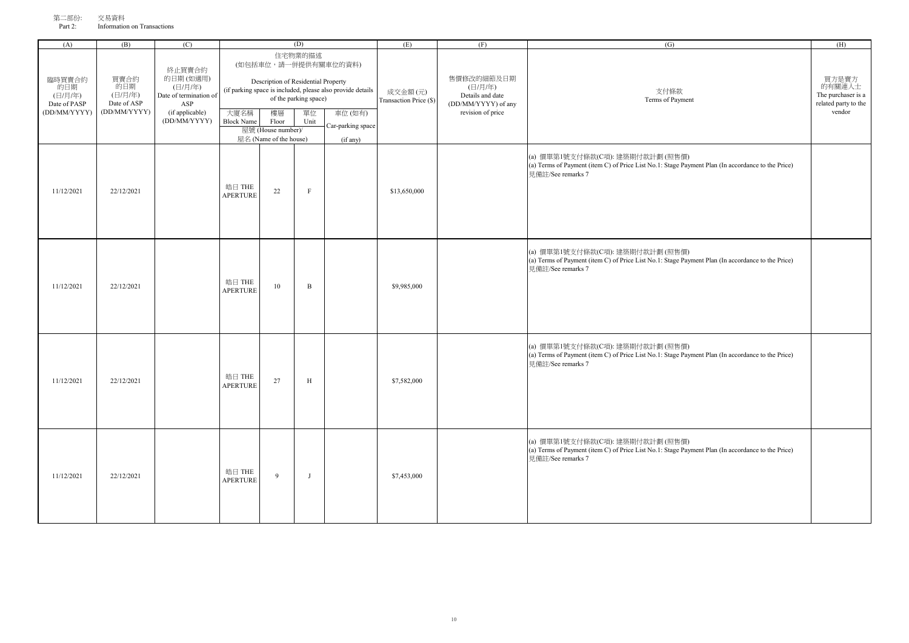| (A)                                                      | (B)                                                   | (C)                                                                                               |                           |                                                                                                    | (D)                                            |                                                                                                                               | (E)                               | (F)                                                                                   | (G)                                                                                                                                                        | (H)                                                                     |
|----------------------------------------------------------|-------------------------------------------------------|---------------------------------------------------------------------------------------------------|---------------------------|----------------------------------------------------------------------------------------------------|------------------------------------------------|-------------------------------------------------------------------------------------------------------------------------------|-----------------------------------|---------------------------------------------------------------------------------------|------------------------------------------------------------------------------------------------------------------------------------------------------------|-------------------------------------------------------------------------|
| 臨時買賣合約<br>的日期<br>(日/月/年)<br>Date of PASP<br>(DD/MM/YYYY) | 買賣合約<br>的日期<br>(日/月/年)<br>Date of ASP<br>(DD/MM/YYYY) | 終止買賣合約<br>的日期(如適用)<br>(日/月/年)<br>Date of termination of<br>ASP<br>(if applicable)<br>(DD/MM/YYYY) | 大廈名稱<br><b>Block Name</b> | Description of Residential Property<br>樓層<br>Floor<br>屋號 (House number)/<br>屋名 (Name of the house) | 住宅物業的描述<br>of the parking space)<br>單位<br>Unit | (如包括車位,請一併提供有關車位的資料)<br>(if parking space is included, please also provide details<br>車位(如有)<br>Car-parking space<br>(if any) | 成交金額(元)<br>Transaction Price (\$) | 售價修改的細節及日期<br>(日/月/年)<br>Details and date<br>(DD/MM/YYYY) of any<br>revision of price | 支付條款<br>Terms of Payment                                                                                                                                   | 買方是賣方<br>的有關連人士<br>The purchaser is a<br>related party to the<br>vendor |
| 11/12/2021                                               | 22/12/2021                                            |                                                                                                   | 皓日 THE<br><b>APERTURE</b> | 22                                                                                                 | $\rm F$                                        |                                                                                                                               | \$13,650,000                      |                                                                                       | (a) 價單第1號支付條款(C項): 建築期付款計劃 (照售價)<br>(a) Terms of Payment (item C) of Price List No.1: Stage Payment Plan (In accordance to the Price)<br>見備註/See remarks 7 |                                                                         |
| 11/12/2021                                               | 22/12/2021                                            |                                                                                                   | 皓日 THE<br><b>APERTURE</b> | $10\,$                                                                                             | $\, {\bf B}$                                   |                                                                                                                               | \$9,985,000                       |                                                                                       | (a) 價單第1號支付條款(C項): 建築期付款計劃 (照售價)<br>(a) Terms of Payment (item C) of Price List No.1: Stage Payment Plan (In accordance to the Price)<br>見備註/See remarks 7 |                                                                         |
| 11/12/2021                                               | 22/12/2021                                            |                                                                                                   | 皓日 THE<br><b>APERTURE</b> | 27                                                                                                 | $\mathbf H$                                    |                                                                                                                               | \$7,582,000                       |                                                                                       | (a) 價單第1號支付條款(C項): 建築期付款計劃 (照售價)<br>(a) Terms of Payment (item C) of Price List No.1: Stage Payment Plan (In accordance to the Price)<br>見備註/See remarks 7 |                                                                         |
| 11/12/2021                                               | 22/12/2021                                            |                                                                                                   | 皓日 THE<br><b>APERTURE</b> | 9                                                                                                  | J                                              |                                                                                                                               | \$7,453,000                       |                                                                                       | (a) 價單第1號支付條款(C項): 建築期付款計劃 (照售價)<br>(a) Terms of Payment (item C) of Price List No.1: Stage Payment Plan (In accordance to the Price)<br>見備註/See remarks 7 |                                                                         |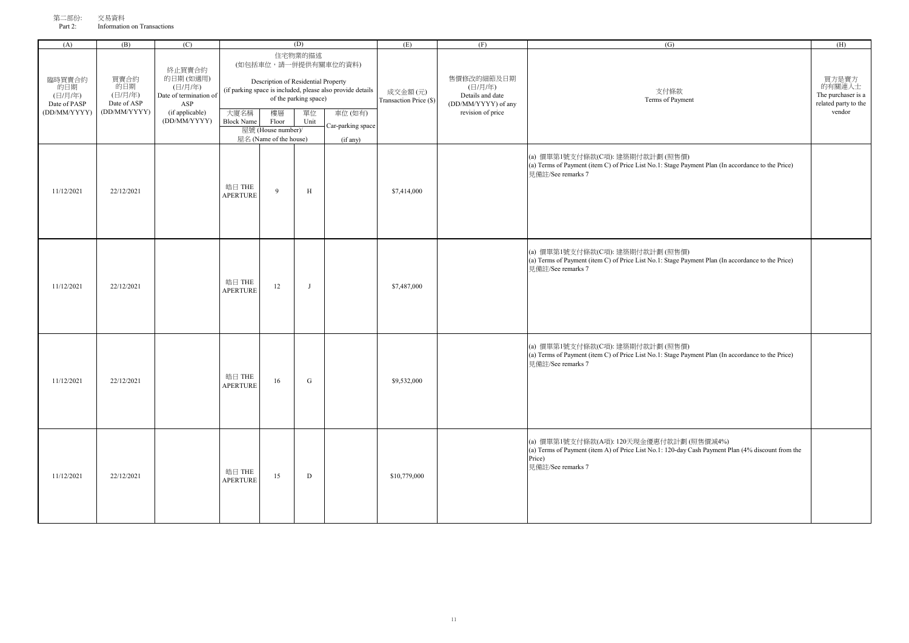| 第二部份:   | 交易資料                        |
|---------|-----------------------------|
| Part 2: | Information on Transactions |

| (A)                                                      | (B)                                                   | (C)                                                                               |                                                                                                                                                               | (D)                                                         |              |                                         | (E)                               | (F)                                                              | (G)                                                                                                                                                                          | (H)                                                                     |
|----------------------------------------------------------|-------------------------------------------------------|-----------------------------------------------------------------------------------|---------------------------------------------------------------------------------------------------------------------------------------------------------------|-------------------------------------------------------------|--------------|-----------------------------------------|-----------------------------------|------------------------------------------------------------------|------------------------------------------------------------------------------------------------------------------------------------------------------------------------------|-------------------------------------------------------------------------|
| 臨時買賣合約<br>的日期<br>(日/月/年)<br>Date of PASP<br>(DD/MM/YYYY) | 買賣合約<br>的日期<br>(日/月/年)<br>Date of ASP<br>(DD/MM/YYYY) | 終止買賣合約<br>的日期(如適用)<br>(日/月/年)<br>Date of termination of<br>ASP<br>(if applicable) | 住宅物業的描述<br>(如包括車位,請一併提供有關車位的資料)<br>Description of Residential Property<br>(if parking space is included, please also provide details<br>of the parking space) |                                                             |              |                                         | 成交金額(元)<br>Transaction Price (\$) | 售價修改的細節及日期<br>(日/月/年)<br>Details and date<br>(DD/MM/YYYY) of any | 支付條款<br>Terms of Payment                                                                                                                                                     | 買方是賣方<br>的有關連人士<br>The purchaser is a<br>related party to the<br>vendor |
|                                                          |                                                       | (DD/MM/YYYY)                                                                      | 大廈名稱<br><b>Block Name</b>                                                                                                                                     | 樓層<br>Floor<br>屋號 (House number)/<br>屋名 (Name of the house) | 單位<br>Unit   | 車位(如有)<br>Car-parking space<br>(if any) |                                   | revision of price                                                |                                                                                                                                                                              |                                                                         |
| 11/12/2021                                               | 22/12/2021                                            |                                                                                   | 皓日 THE<br><b>APERTURE</b>                                                                                                                                     | 9                                                           | $\, {\rm H}$ |                                         | \$7,414,000                       |                                                                  | (a) 價單第1號支付條款(C項): 建築期付款計劃 (照售價)<br>(a) Terms of Payment (item C) of Price List No.1: Stage Payment Plan (In accordance to the Price)<br>見備註/See remarks 7                   |                                                                         |
| 11/12/2021                                               | 22/12/2021                                            |                                                                                   | 皓日 THE<br><b>APERTURE</b>                                                                                                                                     | 12                                                          | J            |                                         | \$7,487,000                       |                                                                  | (a) 價單第1號支付條款(C項): 建築期付款計劃 (照售價)<br>(a) Terms of Payment (item C) of Price List No.1: Stage Payment Plan (In accordance to the Price)<br>見備註/See remarks 7                   |                                                                         |
| 11/12/2021                                               | 22/12/2021                                            |                                                                                   | 皓日 THE<br><b>APERTURE</b>                                                                                                                                     | 16                                                          | ${\bf G}$    |                                         | \$9,532,000                       |                                                                  | (a) 價單第1號支付條款(C項): 建築期付款計劃 (照售價)<br>(a) Terms of Payment (item C) of Price List No.1: Stage Payment Plan (In accordance to the Price)<br>見備註/See remarks 7                   |                                                                         |
| 11/12/2021                                               | 22/12/2021                                            |                                                                                   | 皓日 THE<br><b>APERTURE</b>                                                                                                                                     | 15                                                          | $\mathbf D$  |                                         | \$10,779,000                      |                                                                  | (a) 價單第1號支付條款(A項): 120天現金優惠付款計劃 (照售價減4%)<br>(a) Terms of Payment (item A) of Price List No.1: 120-day Cash Payment Plan (4% discount from the<br>Price)<br>見備註/See remarks 7 |                                                                         |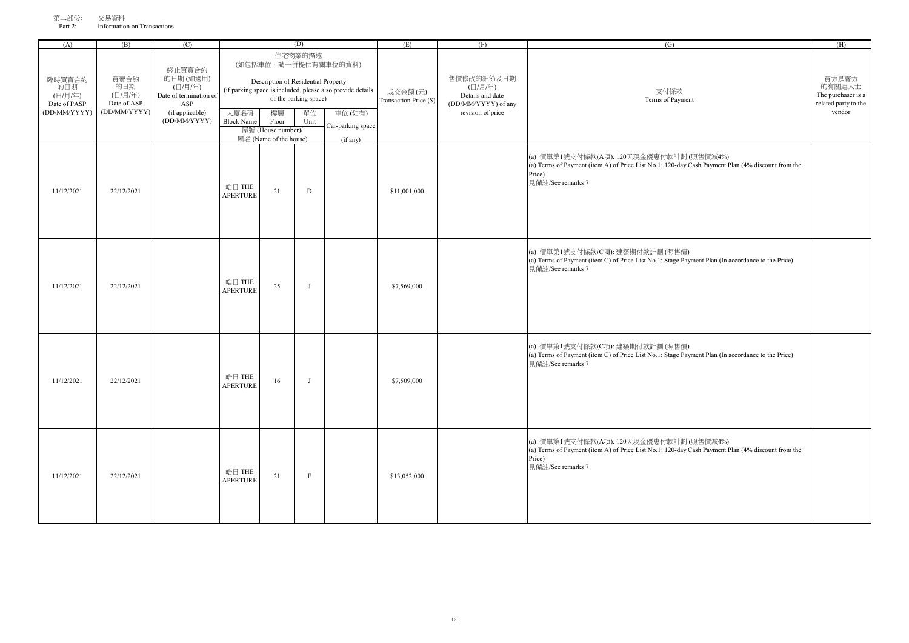| 第二部份:   | 交易資料                        |
|---------|-----------------------------|
| Part 2: | Information on Transactions |

| (A)                                      | (B)                                   | (C)                                                            |                           | (D)                                                         |                                  |                                                                                    | (E)                               | (F)                                                                                   | (G)                                                                                                                                                                          | (H)                                                                     |
|------------------------------------------|---------------------------------------|----------------------------------------------------------------|---------------------------|-------------------------------------------------------------|----------------------------------|------------------------------------------------------------------------------------|-----------------------------------|---------------------------------------------------------------------------------------|------------------------------------------------------------------------------------------------------------------------------------------------------------------------------|-------------------------------------------------------------------------|
| 臨時買賣合約<br>的日期<br>(日/月/年)<br>Date of PASP | 買賣合約<br>的日期<br>(日/月/年)<br>Date of ASP | 終止買賣合約<br>的日期(如適用)<br>(日/月/年)<br>Date of termination of<br>ASP |                           | Description of Residential Property                         | 住宅物業的描述<br>of the parking space) | (如包括車位,請一併提供有關車位的資料)<br>(if parking space is included, please also provide details | 成交金額(元)<br>Transaction Price (\$) | 售價修改的細節及日期<br>(日/月/年)<br>Details and date<br>(DD/MM/YYYY) of any<br>revision of price | 支付條款<br>Terms of Payment                                                                                                                                                     | 買方是賣方<br>的有關連人士<br>The purchaser is a<br>related party to the<br>vendor |
| (DD/MM/YYYY)                             | (DD/MM/YYYY)                          | (if applicable)<br>(DD/MM/YYYY)                                | 大廈名稱<br><b>Block Name</b> | 樓層<br>Floor<br>屋號 (House number)/<br>屋名 (Name of the house) | 單位<br>Unit                       | 車位(如有)<br>Car-parking space<br>(if any)                                            |                                   |                                                                                       |                                                                                                                                                                              |                                                                         |
| 11/12/2021                               | 22/12/2021                            |                                                                | 皓日 THE<br><b>APERTURE</b> | 21                                                          | $\mathbf D$                      |                                                                                    | \$11,001,000                      |                                                                                       | (a) 價單第1號支付條款(A項): 120天現金優惠付款計劃 (照售價減4%)<br>(a) Terms of Payment (item A) of Price List No.1: 120-day Cash Payment Plan (4% discount from the<br>Price)<br>見備註/See remarks 7 |                                                                         |
| 11/12/2021                               | 22/12/2021                            |                                                                | 皓日 THE<br><b>APERTURE</b> | 25                                                          | J                                |                                                                                    | \$7,569,000                       |                                                                                       | (a) 價單第1號支付條款(C項): 建築期付款計劃 (照售價)<br>(a) Terms of Payment (item C) of Price List No.1: Stage Payment Plan (In accordance to the Price)<br>見備註/See remarks 7                   |                                                                         |
| 11/12/2021                               | 22/12/2021                            |                                                                | 皓日 THE<br><b>APERTURE</b> | 16                                                          | $\mathbf{J}$                     |                                                                                    | \$7,509,000                       |                                                                                       | (a) 價單第1號支付條款(C項): 建築期付款計劃 (照售價)<br>(a) Terms of Payment (item C) of Price List No.1: Stage Payment Plan (In accordance to the Price)<br>見備註/See remarks 7                   |                                                                         |
| 11/12/2021                               | 22/12/2021                            |                                                                | 皓日 THE<br><b>APERTURE</b> | 21                                                          | $\boldsymbol{\mathrm{F}}$        |                                                                                    | \$13,052,000                      |                                                                                       | (a) 價單第1號支付條款(A項): 120天現金優惠付款計劃 (照售價減4%)<br>(a) Terms of Payment (item A) of Price List No.1: 120-day Cash Payment Plan (4% discount from the<br>Price)<br>見備註/See remarks 7 |                                                                         |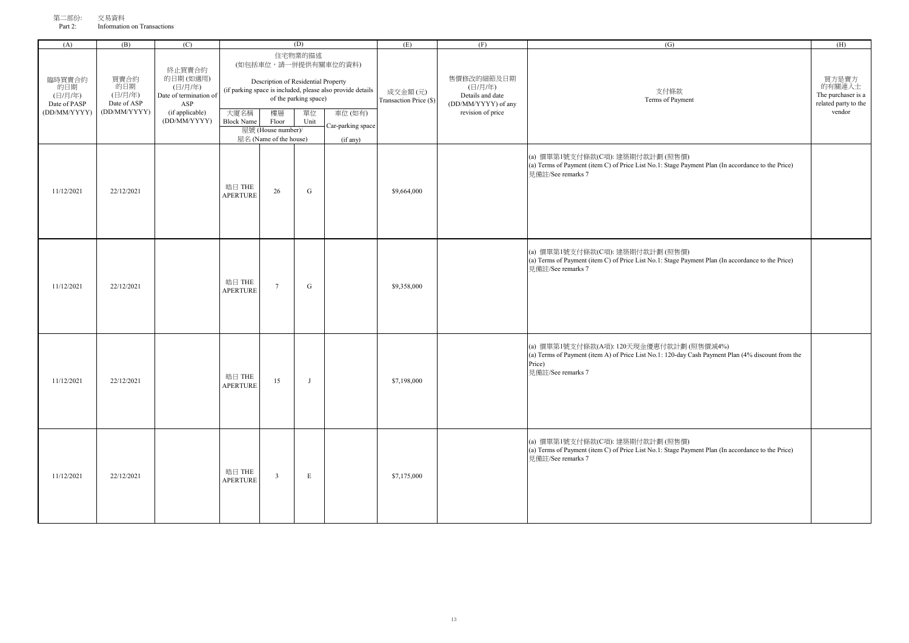| (A)                                                      | (B)                                                   | (C)                                                                                               | (D)<br>住宅物業的描述<br>(如包括車位,請一併提供有關車位的資料) |                                                                                                    |                                     |                                                                                                       | (E)                               | (F)                                                                                   | (G)                                                                                                                                                                          | (H)                                                                     |
|----------------------------------------------------------|-------------------------------------------------------|---------------------------------------------------------------------------------------------------|----------------------------------------|----------------------------------------------------------------------------------------------------|-------------------------------------|-------------------------------------------------------------------------------------------------------|-----------------------------------|---------------------------------------------------------------------------------------|------------------------------------------------------------------------------------------------------------------------------------------------------------------------------|-------------------------------------------------------------------------|
| 臨時買賣合約<br>的日期<br>(日/月/年)<br>Date of PASP<br>(DD/MM/YYYY) | 買賣合約<br>的日期<br>(日/月/年)<br>Date of ASP<br>(DD/MM/YYYY) | 終止買賣合約<br>的日期(如適用)<br>(日/月/年)<br>Date of termination of<br>ASP<br>(if applicable)<br>(DD/MM/YYYY) | 大廈名稱<br><b>Block Name</b>              | Description of Residential Property<br>樓層<br>Floor<br>屋號 (House number)/<br>屋名 (Name of the house) | of the parking space)<br>單位<br>Unit | (if parking space is included, please also provide details<br>車位(如有)<br>Car-parking space<br>(if any) | 成交金額(元)<br>Transaction Price (\$) | 售價修改的細節及日期<br>(日/月/年)<br>Details and date<br>(DD/MM/YYYY) of any<br>revision of price | 支付條款<br>Terms of Payment                                                                                                                                                     | 買方是賣方<br>的有關連人士<br>The purchaser is a<br>related party to the<br>vendor |
| 11/12/2021                                               | 22/12/2021                                            |                                                                                                   | 皓日 THE<br><b>APERTURE</b>              | 26                                                                                                 | G                                   |                                                                                                       | \$9,664,000                       |                                                                                       | (a) 價單第1號支付條款(C項): 建築期付款計劃 (照售價)<br>(a) Terms of Payment (item C) of Price List No.1: Stage Payment Plan (In accordance to the Price)<br>見備註/See remarks 7                   |                                                                         |
| 11/12/2021                                               | 22/12/2021                                            |                                                                                                   | 皓日 THE<br><b>APERTURE</b>              | $\overline{7}$                                                                                     | ${\bf G}$                           |                                                                                                       | \$9,358,000                       |                                                                                       | (a) 價單第1號支付條款(C項): 建築期付款計劃 (照售價)<br>(a) Terms of Payment (item C) of Price List No.1: Stage Payment Plan (In accordance to the Price)<br>見備註/See remarks 7                   |                                                                         |
| 11/12/2021                                               | 22/12/2021                                            |                                                                                                   | 皓日 THE<br><b>APERTURE</b>              | 15                                                                                                 | J                                   |                                                                                                       | \$7,198,000                       |                                                                                       | (a) 價單第1號支付條款(A項): 120天現金優惠付款計劃 (照售價減4%)<br>(a) Terms of Payment (item A) of Price List No.1: 120-day Cash Payment Plan (4% discount from the<br>Price)<br>見備註/See remarks 7 |                                                                         |
| 11/12/2021                                               | 22/12/2021                                            |                                                                                                   | 皓日 THE<br><b>APERTURE</b>              | $\overline{\mathbf{3}}$                                                                            | E                                   |                                                                                                       | \$7,175,000                       |                                                                                       | (a) 價單第1號支付條款(C項): 建築期付款計劃 (照售價)<br>(a) Terms of Payment (item C) of Price List No.1: Stage Payment Plan (In accordance to the Price)<br>見備許/See remarks 7                   |                                                                         |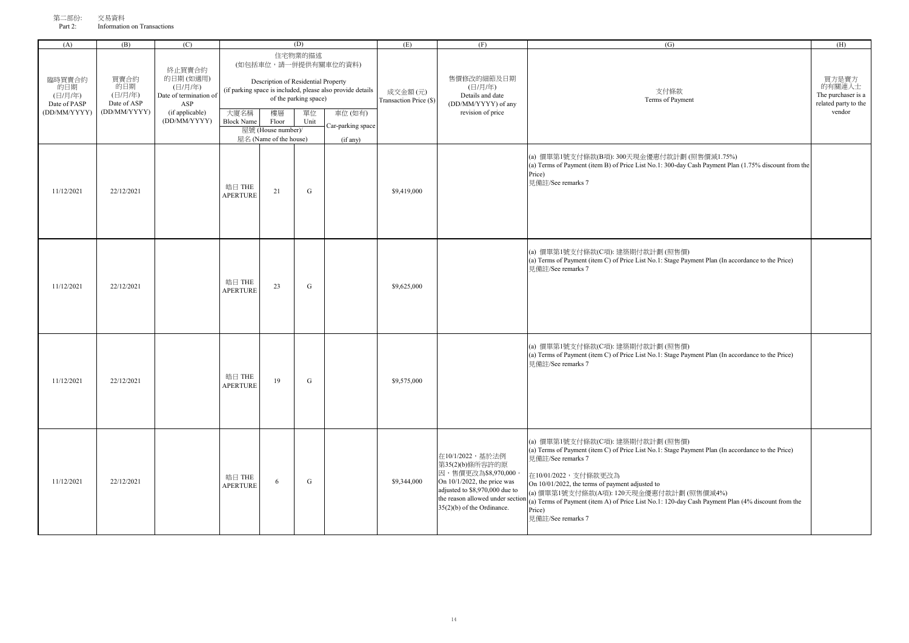| ラ─罚)17厂 | 义勿貝杆                        |  |
|---------|-----------------------------|--|
| Part 2: | Information on Transactions |  |

| (A)                                                      | (B)                                                   | (C)                                                                                               |                                                                                                                                                                                                                                                                                                                    |    | (D)       | (E)                               | (F)                                                                                                                                                                                          | (G)                                                                                                                                                                                                                                                                                                                                                                                                                  | (H)                                                                     |
|----------------------------------------------------------|-------------------------------------------------------|---------------------------------------------------------------------------------------------------|--------------------------------------------------------------------------------------------------------------------------------------------------------------------------------------------------------------------------------------------------------------------------------------------------------------------|----|-----------|-----------------------------------|----------------------------------------------------------------------------------------------------------------------------------------------------------------------------------------------|----------------------------------------------------------------------------------------------------------------------------------------------------------------------------------------------------------------------------------------------------------------------------------------------------------------------------------------------------------------------------------------------------------------------|-------------------------------------------------------------------------|
| 臨時買賣合約<br>的日期<br>(日/月/年)<br>Date of PASP<br>(DD/MM/YYYY) | 買賣合約<br>的日期<br>(日/月/年)<br>Date of ASP<br>(DD/MM/YYYY) | 終止買賣合約<br>的日期(如適用)<br>(日/月/年)<br>Date of termination of<br>ASP<br>(if applicable)<br>(DD/MM/YYYY) | 住宅物業的描述<br>(如包括車位,請一併提供有關車位的資料)<br>Description of Residential Property<br>(if parking space is included, please also provide details<br>of the parking space)<br>大廈名稱<br>樓層<br>單位<br>車位(如有)<br><b>Block Name</b><br>Floor<br>Unit<br>Car-parking space<br>屋號 (House number)/<br>屋名 (Name of the house)<br>(if any) |    |           | 成交金額(元)<br>Transaction Price (\$) | 售價修改的細節及日期<br>(日/月/年)<br>Details and date<br>(DD/MM/YYYY) of any<br>revision of price                                                                                                        | 支付條款<br>Terms of Payment                                                                                                                                                                                                                                                                                                                                                                                             | 買方是賣方<br>的有關連人士<br>The purchaser is a<br>related party to the<br>vendor |
| 11/12/2021                                               | 22/12/2021                                            |                                                                                                   | 皓日 THE<br><b>APERTURE</b>                                                                                                                                                                                                                                                                                          | 21 | G         | \$9,419,000                       |                                                                                                                                                                                              | (a) 價單第1號支付條款(B項): 300天現金優惠付款計劃 (照售價減1.75%)<br>(a) Terms of Payment (item B) of Price List No.1: 300-day Cash Payment Plan (1.75% discount from the<br>Price)<br>見備註/See remarks 7                                                                                                                                                                                                                                   |                                                                         |
| 11/12/2021                                               | 22/12/2021                                            |                                                                                                   | 皓日 THE<br><b>APERTURE</b>                                                                                                                                                                                                                                                                                          | 23 | ${\bf G}$ | \$9,625,000                       |                                                                                                                                                                                              | (a) 價單第1號支付條款(C項): 建築期付款計劃 (照售價)<br>(a) Terms of Payment (item C) of Price List No.1: Stage Payment Plan (In accordance to the Price)<br>見備註/See remarks 7                                                                                                                                                                                                                                                           |                                                                         |
| 11/12/2021                                               | 22/12/2021                                            |                                                                                                   | 皓日 THE<br><b>APERTURE</b>                                                                                                                                                                                                                                                                                          | 19 | G         | \$9,575,000                       |                                                                                                                                                                                              | (a) 價單第1號支付條款(C項): 建築期付款計劃 (照售價)<br>(a) Terms of Payment (item C) of Price List No.1: Stage Payment Plan (In accordance to the Price)<br>見備計/See remarks 7                                                                                                                                                                                                                                                           |                                                                         |
| 11/12/2021                                               | 22/12/2021                                            |                                                                                                   | 皓日 THE<br><b>APERTURE</b>                                                                                                                                                                                                                                                                                          | 6  | G         | \$9,344,000                       | 在10/1/2022,基於法例<br>第35(2)(b)條所容許的原<br>因,售價更改為\$8,970,000<br>On 10/1/2022, the price was<br>adjusted to \$8,970,000 due to<br>the reason allowed under sectio<br>$35(2)(b)$ of the Ordinance. | (a) 價單第1號支付條款(C項): 建築期付款計劃 (照售價)<br>(a) Terms of Payment (item C) of Price List No.1: Stage Payment Plan (In accordance to the Price)<br>見備註/See remarks 7<br>在10/01/2022,支付條款更改為<br>On 10/01/2022, the terms of payment adjusted to<br>(a) 價單第1號支付條款(A項): 120天現金優惠付款計劃 (照售價減4%)<br>(a) Terms of Payment (item A) of Price List No.1: 120-day Cash Payment Plan (4% discount from the<br>Price)<br>見備註/See remarks 7 |                                                                         |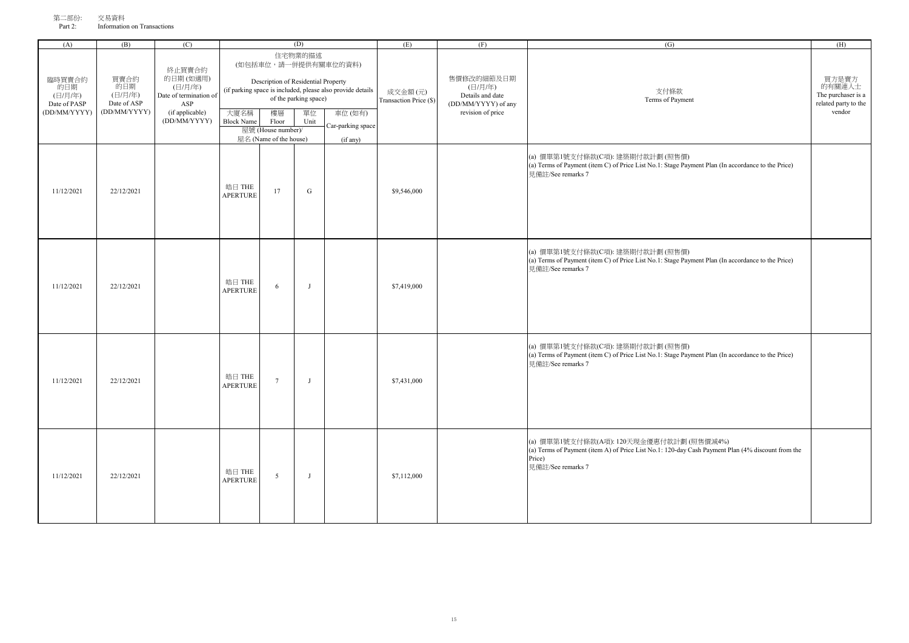| (A)                                                      | (B)                                                   | (C)                                                                                               |                           |                                                                                                    | (D)                                            |                                                                                                                               | (E)                               | (F)                                                                                   | (G)                                                                                                                                                                          | (H)                                                                     |
|----------------------------------------------------------|-------------------------------------------------------|---------------------------------------------------------------------------------------------------|---------------------------|----------------------------------------------------------------------------------------------------|------------------------------------------------|-------------------------------------------------------------------------------------------------------------------------------|-----------------------------------|---------------------------------------------------------------------------------------|------------------------------------------------------------------------------------------------------------------------------------------------------------------------------|-------------------------------------------------------------------------|
| 臨時買賣合約<br>的日期<br>(日/月/年)<br>Date of PASP<br>(DD/MM/YYYY) | 買賣合約<br>的日期<br>(日/月/年)<br>Date of ASP<br>(DD/MM/YYYY) | 終止買賣合約<br>的日期(如適用)<br>(日/月/年)<br>Date of termination of<br>ASP<br>(if applicable)<br>(DD/MM/YYYY) | 大廈名稱<br><b>Block Name</b> | Description of Residential Property<br>樓層<br>Floor<br>屋號 (House number)/<br>屋名 (Name of the house) | 住宅物業的描述<br>of the parking space)<br>單位<br>Unit | (如包括車位,請一併提供有關車位的資料)<br>(if parking space is included, please also provide details<br>車位(如有)<br>Car-parking space<br>(if any) | 成交金額(元)<br>Transaction Price (\$) | 售價修改的細節及日期<br>(日/月/年)<br>Details and date<br>(DD/MM/YYYY) of any<br>revision of price | 支付條款<br>Terms of Payment                                                                                                                                                     | 買方是賣方<br>的有關連人士<br>The purchaser is a<br>related party to the<br>vendor |
| 11/12/2021                                               | 22/12/2021                                            |                                                                                                   | 皓日 THE<br><b>APERTURE</b> | 17                                                                                                 | G                                              |                                                                                                                               | \$9,546,000                       |                                                                                       | (a) 價單第1號支付條款(C項): 建築期付款計劃 (照售價)<br>(a) Terms of Payment (item C) of Price List No.1: Stage Payment Plan (In accordance to the Price)<br>見備計/See remarks 7                   |                                                                         |
| 11/12/2021                                               | 22/12/2021                                            |                                                                                                   | 皓日 THE<br><b>APERTURE</b> | 6                                                                                                  | J                                              |                                                                                                                               | \$7,419,000                       |                                                                                       | (a) 價單第1號支付條款(C項): 建築期付款計劃 (照售價)<br>(a) Terms of Payment (item C) of Price List No.1: Stage Payment Plan (In accordance to the Price)<br>見備註/See remarks 7                   |                                                                         |
| 11/12/2021                                               | 22/12/2021                                            |                                                                                                   | 皓日 THE<br><b>APERTURE</b> | $7\phantom{.0}$                                                                                    | J                                              |                                                                                                                               | \$7,431,000                       |                                                                                       | (a) 價單第1號支付條款(C項): 建築期付款計劃 (照售價)<br>(a) Terms of Payment (item C) of Price List No.1: Stage Payment Plan (In accordance to the Price)<br>見備註/See remarks 7                   |                                                                         |
| 11/12/2021                                               | 22/12/2021                                            |                                                                                                   | 皓日 THE<br><b>APERTURE</b> | $5\overline{)}$                                                                                    | $\mathbf{J}$                                   |                                                                                                                               | \$7,112,000                       |                                                                                       | (a) 價單第1號支付條款(A項): 120天現金優惠付款計劃 (照售價減4%)<br>(a) Terms of Payment (item A) of Price List No.1: 120-day Cash Payment Plan (4% discount from the<br>Price)<br>見備註/See remarks 7 |                                                                         |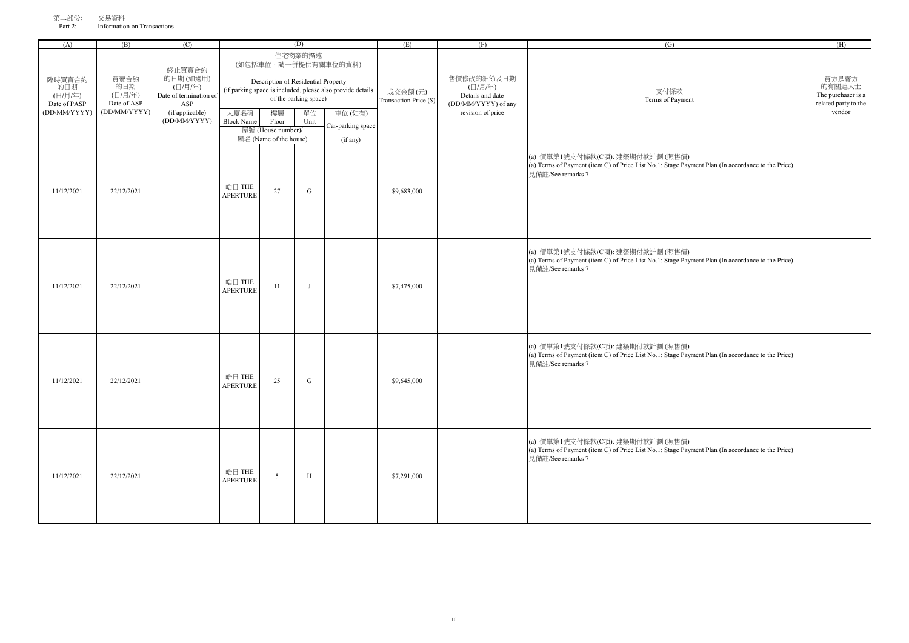| 第二部份:   | 交易資料                        |
|---------|-----------------------------|
| Part 2: | Information on Transactions |

| (A)                                      | (B)                                   | (C)                                                            |                           | (D)                                                                                                                                                           |              |                                         | (E)                               | (F)                                                              | (G)                                                                                                                                                        | (H)                                                           |
|------------------------------------------|---------------------------------------|----------------------------------------------------------------|---------------------------|---------------------------------------------------------------------------------------------------------------------------------------------------------------|--------------|-----------------------------------------|-----------------------------------|------------------------------------------------------------------|------------------------------------------------------------------------------------------------------------------------------------------------------------|---------------------------------------------------------------|
| 臨時買賣合約<br>的日期<br>(日/月/年)<br>Date of PASP | 買賣合約<br>的日期<br>(日/月/年)<br>Date of ASP | 終止買賣合約<br>的日期(如適用)<br>(日/月/年)<br>Date of termination of<br>ASP |                           | 住宅物業的描述<br>(如包括車位,請一併提供有關車位的資料)<br>Description of Residential Property<br>(if parking space is included, please also provide details<br>of the parking space) |              |                                         | 成交金額(元)<br>Transaction Price (\$) | 售價修改的細節及日期<br>(日/月/年)<br>Details and date<br>(DD/MM/YYYY) of any | 支付條款<br>Terms of Payment                                                                                                                                   | 買方是賣方<br>的有關連人士<br>The purchaser is a<br>related party to the |
| (DD/MM/YYYY)                             | (DD/MM/YYYY)                          | (if applicable)<br>(DD/MM/YYYY)                                | 大廈名稱<br><b>Block Name</b> | 樓層<br>Floor<br>屋號 (House number)/<br>屋名 (Name of the house)                                                                                                   | 單位<br>Unit   | 車位(如有)<br>Car-parking space<br>(if any) |                                   | revision of price                                                |                                                                                                                                                            | vendor                                                        |
| 11/12/2021                               | 22/12/2021                            |                                                                | 皓日 THE<br><b>APERTURE</b> | 27                                                                                                                                                            | ${\rm G}$    |                                         | \$9,683,000                       |                                                                  | (a) 價單第1號支付條款(C項): 建築期付款計劃 (照售價)<br>(a) Terms of Payment (item C) of Price List No.1: Stage Payment Plan (In accordance to the Price)<br>見備註/See remarks 7 |                                                               |
| 11/12/2021                               | 22/12/2021                            |                                                                | 皓日 THE<br><b>APERTURE</b> | 11                                                                                                                                                            | $\mathbf{J}$ |                                         | \$7,475,000                       |                                                                  | (a) 價單第1號支付條款(C項): 建築期付款計劃 (照售價)<br>(a) Terms of Payment (item C) of Price List No.1: Stage Payment Plan (In accordance to the Price)<br>見備註/See remarks 7 |                                                               |
| 11/12/2021                               | 22/12/2021                            |                                                                | 皓日 THE<br><b>APERTURE</b> | 25                                                                                                                                                            | G            |                                         | \$9,645,000                       |                                                                  | (a) 價單第1號支付條款(C項): 建築期付款計劃 (照售價)<br>(a) Terms of Payment (item C) of Price List No.1: Stage Payment Plan (In accordance to the Price)<br>見備註/See remarks 7 |                                                               |
| 11/12/2021                               | 22/12/2021                            |                                                                | 皓日 THE<br><b>APERTURE</b> | 5                                                                                                                                                             | $\, {\rm H}$ |                                         | \$7,291,000                       |                                                                  | (a) 價單第1號支付條款(C項): 建築期付款計劃 (照售價)<br>(a) Terms of Payment (item C) of Price List No.1: Stage Payment Plan (In accordance to the Price)<br>見備註/See remarks 7 |                                                               |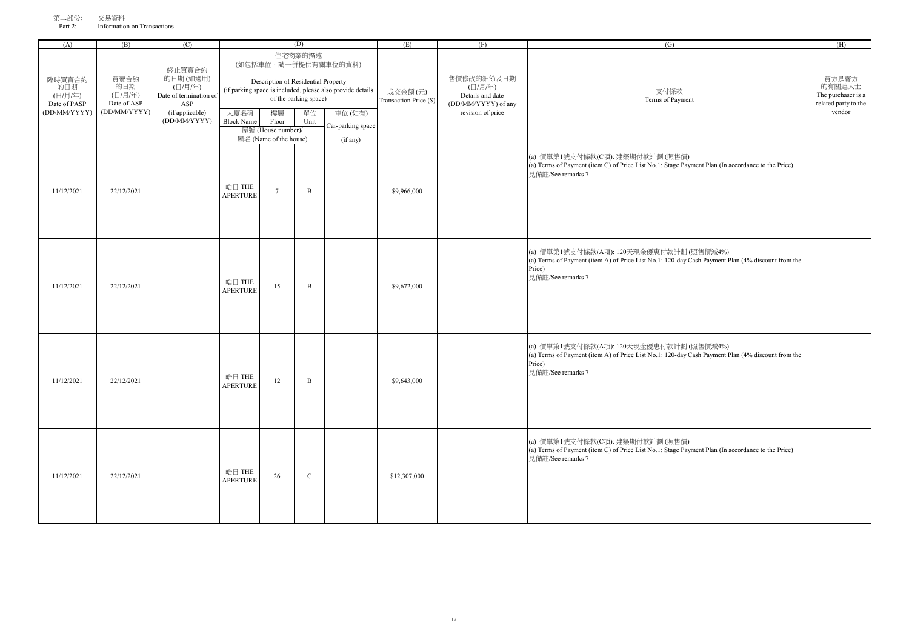| 第二部份:   | 交易資料                        |
|---------|-----------------------------|
| Part 2: | Information on Transactions |

| (A)                                                      | (B)                                                   | (C)                                                                                               | (D)                       |                                                                                                    |                                                |                                                                                                                               | (E)                               | (F)                                                                                   | (G)                                                                                                                                                                          | (H)                                                                     |
|----------------------------------------------------------|-------------------------------------------------------|---------------------------------------------------------------------------------------------------|---------------------------|----------------------------------------------------------------------------------------------------|------------------------------------------------|-------------------------------------------------------------------------------------------------------------------------------|-----------------------------------|---------------------------------------------------------------------------------------|------------------------------------------------------------------------------------------------------------------------------------------------------------------------------|-------------------------------------------------------------------------|
| 臨時買賣合約<br>的日期<br>(日/月/年)<br>Date of PASP<br>(DD/MM/YYYY) | 買賣合約<br>的日期<br>(日/月/年)<br>Date of ASP<br>(DD/MM/YYYY) | 終止買賣合約<br>的日期(如適用)<br>(日/月/年)<br>Date of termination of<br>ASP<br>(if applicable)<br>(DD/MM/YYYY) | 大廈名稱<br><b>Block Name</b> | Description of Residential Property<br>樓層<br>Floor<br>屋號 (House number)/<br>屋名 (Name of the house) | 住宅物業的描述<br>of the parking space)<br>單位<br>Unit | (如包括車位,請一併提供有關車位的資料)<br>(if parking space is included, please also provide details<br>車位(如有)<br>Car-parking space<br>(if any) | 成交金額(元)<br>Transaction Price (\$) | 售價修改的細節及日期<br>(日/月/年)<br>Details and date<br>(DD/MM/YYYY) of any<br>revision of price | 支付條款<br>Terms of Payment                                                                                                                                                     | 買方是賣方<br>的有關連人士<br>The purchaser is a<br>related party to the<br>vendor |
| 11/12/2021                                               | 22/12/2021                                            |                                                                                                   | 皓日 THE<br><b>APERTURE</b> | $\tau$                                                                                             | $\, {\bf B}$                                   |                                                                                                                               | \$9,966,000                       |                                                                                       | (a) 價單第1號支付條款(C項): 建築期付款計劃 (照售價)<br>(a) Terms of Payment (item C) of Price List No.1: Stage Payment Plan (In accordance to the Price)<br>見備註/See remarks 7                   |                                                                         |
| 11/12/2021                                               | 22/12/2021                                            |                                                                                                   | 皓日 THE<br><b>APERTURE</b> | 15                                                                                                 | $\, {\bf B}$                                   |                                                                                                                               | \$9,672,000                       |                                                                                       | (a) 價單第1號支付條款(A項): 120天現金優惠付款計劃 (照售價減4%)<br>(a) Terms of Payment (item A) of Price List No.1: 120-day Cash Payment Plan (4% discount from the<br>Price)<br>見備註/See remarks 7 |                                                                         |
| 11/12/2021                                               | 22/12/2021                                            |                                                                                                   | 皓日 THE<br><b>APERTURE</b> | 12                                                                                                 | $\, {\bf B}$                                   |                                                                                                                               | \$9,643,000                       |                                                                                       | (a) 價單第1號支付條款(A項): 120天現金優惠付款計劃 (照售價減4%)<br>(a) Terms of Payment (item A) of Price List No.1: 120-day Cash Payment Plan (4% discount from the<br>Price)<br>見備註/See remarks 7 |                                                                         |
| 11/12/2021                                               | 22/12/2021                                            |                                                                                                   | 皓日 THE<br><b>APERTURE</b> | 26                                                                                                 | $\mathbf C$                                    |                                                                                                                               | \$12,307,000                      |                                                                                       | (a) 價單第1號支付條款(C項): 建築期付款計劃 (照售價)<br>(a) Terms of Payment (item C) of Price List No.1: Stage Payment Plan (In accordance to the Price)<br>見備註/See remarks 7                   |                                                                         |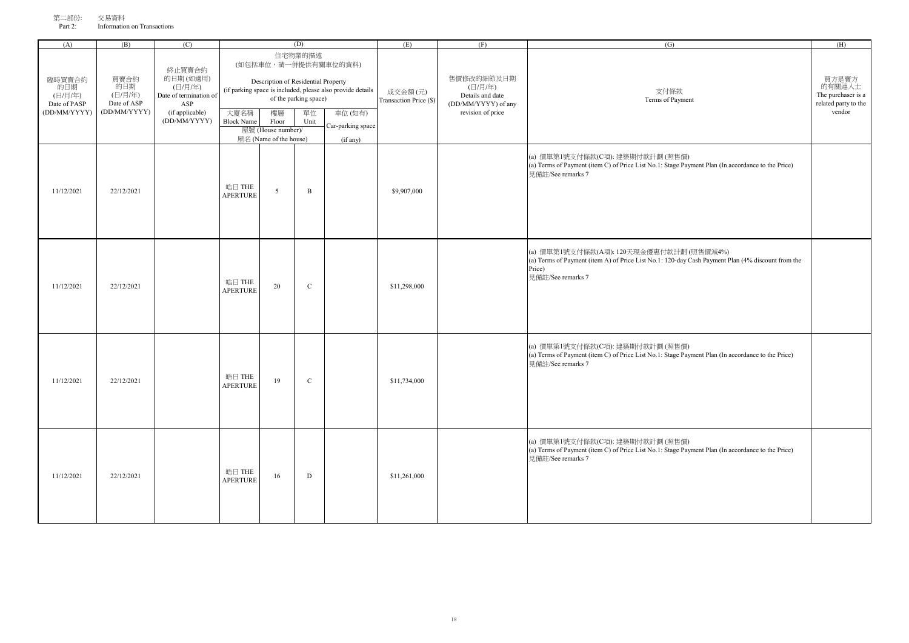| (A)                                                      | (B)                                                   | (C)                                                                                               |                           |                                                                                                    | (D)                                            |                                                                                                                               | (E)                               | (F)                                                                                   | (G)                                                                                                                                                                          | (H)                                                                     |
|----------------------------------------------------------|-------------------------------------------------------|---------------------------------------------------------------------------------------------------|---------------------------|----------------------------------------------------------------------------------------------------|------------------------------------------------|-------------------------------------------------------------------------------------------------------------------------------|-----------------------------------|---------------------------------------------------------------------------------------|------------------------------------------------------------------------------------------------------------------------------------------------------------------------------|-------------------------------------------------------------------------|
| 臨時買賣合約<br>的日期<br>(日/月/年)<br>Date of PASP<br>(DD/MM/YYYY) | 買賣合約<br>的日期<br>(日/月/年)<br>Date of ASP<br>(DD/MM/YYYY) | 終止買賣合約<br>的日期(如適用)<br>(日/月/年)<br>Date of termination of<br>ASP<br>(if applicable)<br>(DD/MM/YYYY) | 大廈名稱<br><b>Block Name</b> | Description of Residential Property<br>樓層<br>Floor<br>屋號 (House number)/<br>屋名 (Name of the house) | 住宅物業的描述<br>of the parking space)<br>單位<br>Unit | (如包括車位,請一併提供有關車位的資料)<br>(if parking space is included, please also provide details<br>車位(如有)<br>Car-parking space<br>(if any) | 成交金額(元)<br>Transaction Price (\$) | 售價修改的細節及日期<br>(日/月/年)<br>Details and date<br>(DD/MM/YYYY) of any<br>revision of price | 支付條款<br>Terms of Payment                                                                                                                                                     | 買方是賣方<br>的有關連人士<br>The purchaser is a<br>related party to the<br>vendor |
| 11/12/2021                                               | 22/12/2021                                            |                                                                                                   | 皓日 THE<br><b>APERTURE</b> | 5                                                                                                  | $\, {\bf B}$                                   |                                                                                                                               | \$9,907,000                       |                                                                                       | (a) 價單第1號支付條款(C項): 建築期付款計劃 (照售價)<br>(a) Terms of Payment (item C) of Price List No.1: Stage Payment Plan (In accordance to the Price)<br>見備註/See remarks 7                   |                                                                         |
| 11/12/2021                                               | 22/12/2021                                            |                                                                                                   | 皓日 THE<br><b>APERTURE</b> | 20                                                                                                 | $\mathbf C$                                    |                                                                                                                               | \$11,298,000                      |                                                                                       | (a) 價單第1號支付條款(A項): 120天現金優惠付款計劃 (照售價減4%)<br>(a) Terms of Payment (item A) of Price List No.1: 120-day Cash Payment Plan (4% discount from the<br>Price)<br>見備註/See remarks 7 |                                                                         |
| 11/12/2021                                               | 22/12/2021                                            |                                                                                                   | 皓日 THE<br><b>APERTURE</b> | 19                                                                                                 | $\mathbf C$                                    |                                                                                                                               | \$11,734,000                      |                                                                                       | (a) 價單第1號支付條款(C項): 建築期付款計劃 (照售價)<br>(a) Terms of Payment (item C) of Price List No.1: Stage Payment Plan (In accordance to the Price)<br>見備註/See remarks 7                   |                                                                         |
| 11/12/2021                                               | 22/12/2021                                            |                                                                                                   | 皓日 THE<br><b>APERTURE</b> | 16                                                                                                 | $\mathbf D$                                    |                                                                                                                               | \$11,261,000                      |                                                                                       | (a) 價單第1號支付條款(C項): 建築期付款計劃 (照售價)<br>(a) Terms of Payment (item C) of Price List No.1: Stage Payment Plan (In accordance to the Price)<br>見備註/See remarks 7                   |                                                                         |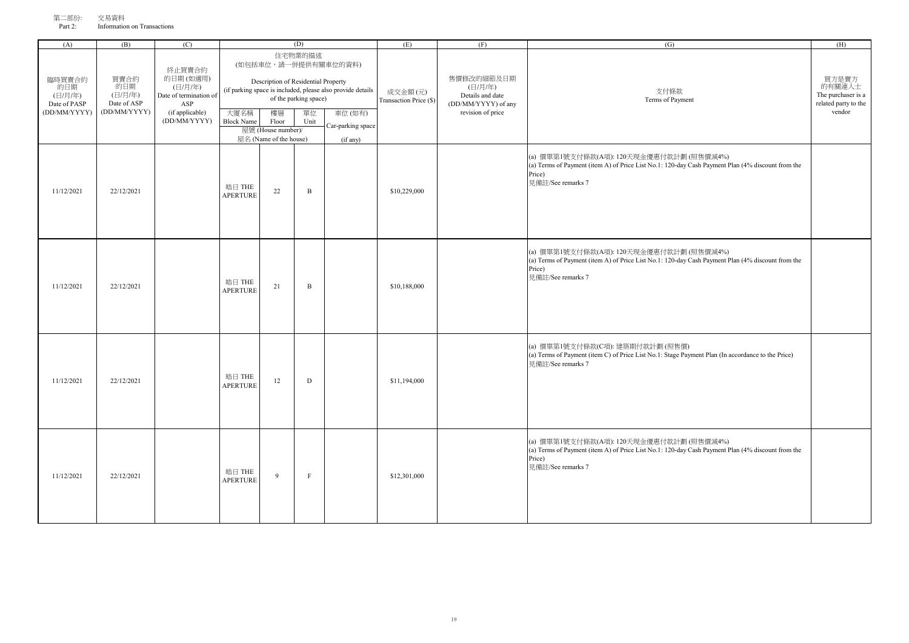| (A)                                                      | (B)                                                   | (C)                                                                                               |                           |                                                                                                    | (D)                                            |                                                                                                                               | (E)                               | (F)                                                                                   | (G)                                                                                                                                                                          | (H)                                                                     |
|----------------------------------------------------------|-------------------------------------------------------|---------------------------------------------------------------------------------------------------|---------------------------|----------------------------------------------------------------------------------------------------|------------------------------------------------|-------------------------------------------------------------------------------------------------------------------------------|-----------------------------------|---------------------------------------------------------------------------------------|------------------------------------------------------------------------------------------------------------------------------------------------------------------------------|-------------------------------------------------------------------------|
| 臨時買賣合約<br>的日期<br>(日/月/年)<br>Date of PASP<br>(DD/MM/YYYY) | 買賣合約<br>的日期<br>(日/月/年)<br>Date of ASP<br>(DD/MM/YYYY) | 終止買賣合約<br>的日期(如適用)<br>(日/月/年)<br>Date of termination of<br>ASP<br>(if applicable)<br>(DD/MM/YYYY) | 大廈名稱<br><b>Block Name</b> | Description of Residential Property<br>樓層<br>Floor<br>屋號 (House number)/<br>屋名 (Name of the house) | 住宅物業的描述<br>of the parking space)<br>單位<br>Unit | (如包括車位,請一併提供有關車位的資料)<br>(if parking space is included, please also provide details<br>車位(如有)<br>Car-parking space<br>(if any) | 成交金額(元)<br>Transaction Price (\$) | 售價修改的細節及日期<br>(日/月/年)<br>Details and date<br>(DD/MM/YYYY) of any<br>revision of price | 支付條款<br>Terms of Payment                                                                                                                                                     | 買方是賣方<br>的有關連人士<br>The purchaser is a<br>related party to the<br>vendor |
| 11/12/2021                                               | 22/12/2021                                            |                                                                                                   | 皓日 THE<br><b>APERTURE</b> | 22                                                                                                 | $\, {\bf B}$                                   |                                                                                                                               | \$10,229,000                      |                                                                                       | (a) 價單第1號支付條款(A項): 120天現金優惠付款計劃 (照售價減4%)<br>(a) Terms of Payment (item A) of Price List No.1: 120-day Cash Payment Plan (4% discount from the<br>Price)<br>見備註/See remarks 7 |                                                                         |
| 11/12/2021                                               | 22/12/2021                                            |                                                                                                   | 皓日 THE<br><b>APERTURE</b> | 21                                                                                                 | $\, {\bf B}$                                   |                                                                                                                               | \$10,188,000                      |                                                                                       | (a) 價單第1號支付條款(A項): 120天現金優惠付款計劃 (照售價減4%)<br>(a) Terms of Payment (item A) of Price List No.1: 120-day Cash Payment Plan (4% discount from the<br>Price)<br>見備註/See remarks 7 |                                                                         |
| 11/12/2021                                               | 22/12/2021                                            |                                                                                                   | 皓日 THE<br><b>APERTURE</b> | 12                                                                                                 | $\mathbf D$                                    |                                                                                                                               | \$11,194,000                      |                                                                                       | (a) 價單第1號支付條款(C項): 建築期付款計劃 (照售價)<br>(a) Terms of Payment (item C) of Price List No.1: Stage Payment Plan (In accordance to the Price)<br>見備註/See remarks 7                   |                                                                         |
| 11/12/2021                                               | 22/12/2021                                            |                                                                                                   | 皓日 THE<br><b>APERTURE</b> | $\overline{9}$                                                                                     | $\rm F$                                        |                                                                                                                               | \$12,301,000                      |                                                                                       | (a) 價單第1號支付條款(A項): 120天現金優惠付款計劃 (照售價減4%)<br>(a) Terms of Payment (item A) of Price List No.1: 120-day Cash Payment Plan (4% discount from the<br>Price)<br>見備註/See remarks 7 |                                                                         |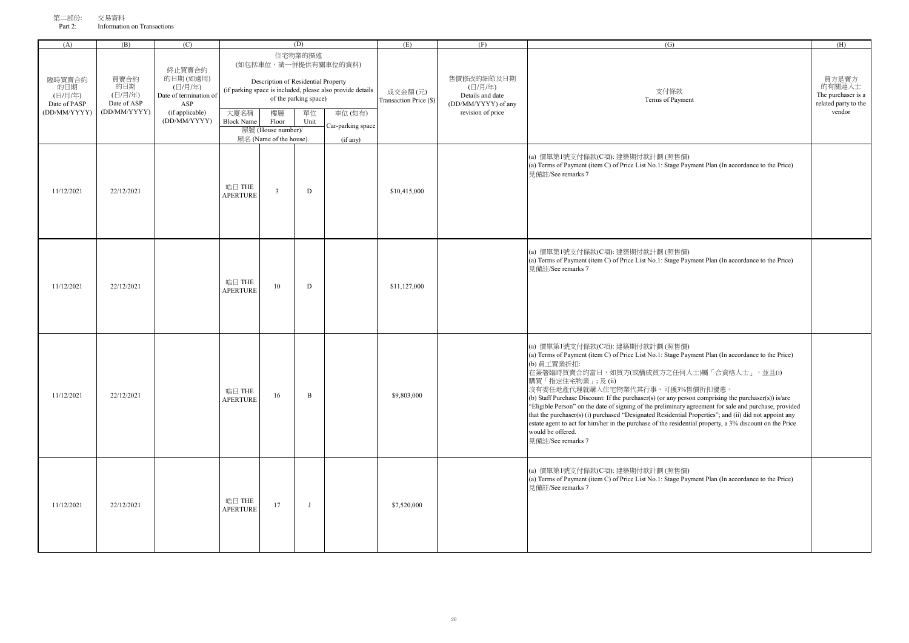| , - 11<br>Part 2: | 人勿只怕<br>Information on Transactions |  |
|-------------------|-------------------------------------|--|
| (A)               |                                     |  |

| (A)                                                      | (B)                                                   | (C)                                                                                               |                           |                                                                                                    | (D)                                            |                                                                                                                               | (E)                               | (F)                                                                                   | (G)                                                                                                                                                                                                                                                                                                                                                                                                                                                                                                                                                                                                                                                                                                                                    | (H)                                                                     |
|----------------------------------------------------------|-------------------------------------------------------|---------------------------------------------------------------------------------------------------|---------------------------|----------------------------------------------------------------------------------------------------|------------------------------------------------|-------------------------------------------------------------------------------------------------------------------------------|-----------------------------------|---------------------------------------------------------------------------------------|----------------------------------------------------------------------------------------------------------------------------------------------------------------------------------------------------------------------------------------------------------------------------------------------------------------------------------------------------------------------------------------------------------------------------------------------------------------------------------------------------------------------------------------------------------------------------------------------------------------------------------------------------------------------------------------------------------------------------------------|-------------------------------------------------------------------------|
| 臨時買賣合約<br>的日期<br>(日/月/年)<br>Date of PASP<br>(DD/MM/YYYY) | 買賣合約<br>的日期<br>(日/月/年)<br>Date of ASP<br>(DD/MM/YYYY) | 終止買賣合約<br>的日期(如適用)<br>(日/月/年)<br>Date of termination of<br>ASP<br>(if applicable)<br>(DD/MM/YYYY) | 大廈名稱<br><b>Block Name</b> | Description of Residential Property<br>樓層<br>Floor<br>屋號 (House number)/<br>屋名 (Name of the house) | 住宅物業的描述<br>of the parking space)<br>單位<br>Unit | (如包括車位,請一併提供有關車位的資料)<br>(if parking space is included, please also provide details<br>車位(如有)<br>Car-parking space<br>(if any) | 成交金額(元)<br>Transaction Price (\$) | 售價修改的細節及日期<br>(日/月/年)<br>Details and date<br>(DD/MM/YYYY) of any<br>revision of price | 支付條款<br>Terms of Payment                                                                                                                                                                                                                                                                                                                                                                                                                                                                                                                                                                                                                                                                                                               | 買方是賣方<br>的有關連人士<br>The purchaser is a<br>related party to the<br>vendor |
| 11/12/2021                                               | 22/12/2021                                            |                                                                                                   | 皓日 THE<br><b>APERTURE</b> | $\overline{\mathbf{3}}$                                                                            | $\mathbf D$                                    |                                                                                                                               | \$10,415,000                      |                                                                                       | (a) 價單第1號支付條款(C項): 建築期付款計劃 (照售價)<br>(a) Terms of Payment (item C) of Price List No.1: Stage Payment Plan (In accordance to the Price)<br>見備註/See remarks 7                                                                                                                                                                                                                                                                                                                                                                                                                                                                                                                                                                             |                                                                         |
| 11/12/2021                                               | 22/12/2021                                            |                                                                                                   | 皓日 THE<br><b>APERTURE</b> | 10                                                                                                 | $\mathbf D$                                    |                                                                                                                               | \$11,127,000                      |                                                                                       | (a) 價單第1號支付條款(C項): 建築期付款計劃 (照售價)<br>(a) Terms of Payment (item C) of Price List No.1: Stage Payment Plan (In accordance to the Price)<br>見備註/See remarks 7                                                                                                                                                                                                                                                                                                                                                                                                                                                                                                                                                                             |                                                                         |
| 11/12/2021                                               | 22/12/2021                                            |                                                                                                   | 皓日 THE<br>APERTURE        | 16                                                                                                 | $\, {\bf B}$                                   |                                                                                                                               | \$9,803,000                       |                                                                                       | (a) 價單第1號支付條款(C項): 建築期付款計劃 (照售價)<br>(a) Terms of Payment (item C) of Price List No.1: Stage Payment Plan (In accordance to the Price)<br>(b) 員工置業折扣:<br>在簽署臨時買賣合約當日,如買方(或構成買方之任何人士)屬「合資格人士」,並且(i)<br>購買「指定住宅物業」;及(ii)<br>沒有委任地產代理就購入住宅物業代其行事,可獲3%售價折扣優惠。<br>(b) Staff Purchase Discount: If the purchaser(s) (or any person comprising the purchaser(s)) is/are<br>"Eligible Person" on the date of signing of the preliminary agreement for sale and purchase, provided<br>that the purchaser(s) (i) purchased "Designated Residential Properties"; and (ii) did not appoint any<br>estate agent to act for him/her in the purchase of the residential property, a 3% discount on the Price<br>would be offered.<br>見備註/See remarks 7 |                                                                         |
| 11/12/2021                                               | 22/12/2021                                            |                                                                                                   | 皓日 THE<br>APERTURE        | 17                                                                                                 | $\mathbf{J}$                                   |                                                                                                                               | \$7,520,000                       |                                                                                       | (a) 價單第1號支付條款(C項): 建築期付款計劃 (照售價)<br>(a) Terms of Payment (item C) of Price List No.1: Stage Payment Plan (In accordance to the Price)<br>見備許/See remarks 7                                                                                                                                                                                                                                                                                                                                                                                                                                                                                                                                                                             |                                                                         |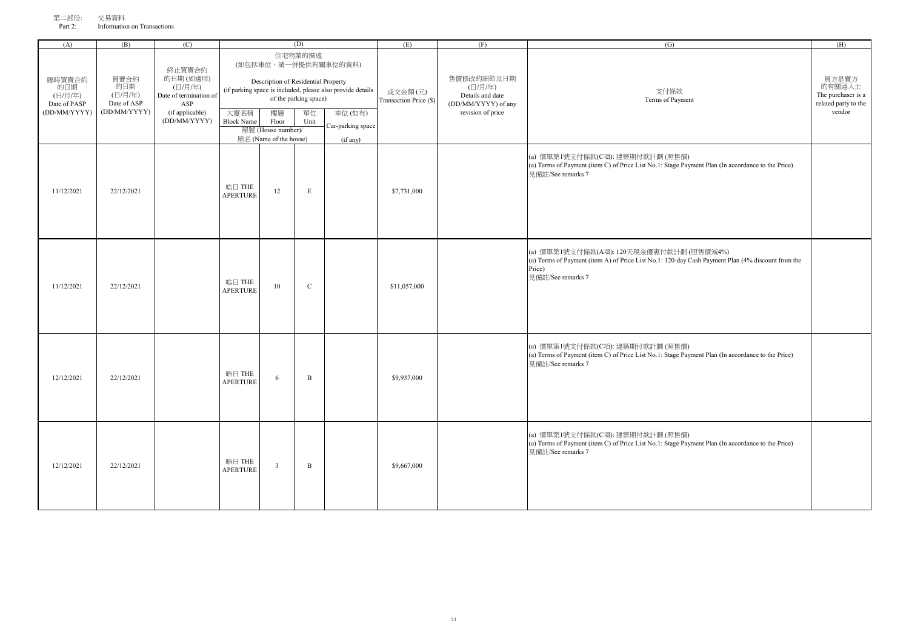| (A)                                                      | (B)                                                   | (C)                                                                                               | (D)                       |                                                                                                    |                                                |                                                                                                                               | (E)                               | (F)                                                                                   | (G)                                                                                                                                                                          | (H)                                                                     |
|----------------------------------------------------------|-------------------------------------------------------|---------------------------------------------------------------------------------------------------|---------------------------|----------------------------------------------------------------------------------------------------|------------------------------------------------|-------------------------------------------------------------------------------------------------------------------------------|-----------------------------------|---------------------------------------------------------------------------------------|------------------------------------------------------------------------------------------------------------------------------------------------------------------------------|-------------------------------------------------------------------------|
| 臨時買賣合約<br>的日期<br>(日/月/年)<br>Date of PASP<br>(DD/MM/YYYY) | 買賣合約<br>的日期<br>(日/月/年)<br>Date of ASP<br>(DD/MM/YYYY) | 終止買賣合約<br>的日期(如適用)<br>(日/月/年)<br>Date of termination of<br>ASP<br>(if applicable)<br>(DD/MM/YYYY) | 大廈名稱<br><b>Block Name</b> | Description of Residential Property<br>樓層<br>Floor<br>屋號 (House number)/<br>屋名 (Name of the house) | 住宅物業的描述<br>of the parking space)<br>單位<br>Unit | (如包括車位,請一併提供有關車位的資料)<br>(if parking space is included, please also provide details<br>車位(如有)<br>Car-parking space<br>(if any) | 成交金額(元)<br>Transaction Price (\$) | 售價修改的細節及日期<br>(日/月/年)<br>Details and date<br>(DD/MM/YYYY) of any<br>revision of price | 支付條款<br>Terms of Payment                                                                                                                                                     | 買方是賣方<br>的有關連人士<br>The purchaser is a<br>related party to the<br>vendor |
| 11/12/2021                                               | 22/12/2021                                            |                                                                                                   | 皓日 THE<br><b>APERTURE</b> | 12                                                                                                 | $\mathbf E$                                    |                                                                                                                               | \$7,731,000                       |                                                                                       | (a) 價單第1號支付條款(C項): 建築期付款計劃 (照售價)<br>(a) Terms of Payment (item C) of Price List No.1: Stage Payment Plan (In accordance to the Price)<br>見備計/See remarks 7                   |                                                                         |
| 11/12/2021                                               | 22/12/2021                                            |                                                                                                   | 皓日 THE<br><b>APERTURE</b> | 10                                                                                                 | $\mathbf C$                                    |                                                                                                                               | \$11,057,000                      |                                                                                       | (a) 價單第1號支付條款(A項): 120天現金優惠付款計劃 (照售價減4%)<br>(a) Terms of Payment (item A) of Price List No.1: 120-day Cash Payment Plan (4% discount from the<br>Price)<br>見備註/See remarks 7 |                                                                         |
| 12/12/2021                                               | 22/12/2021                                            |                                                                                                   | 皓日 THE<br><b>APERTURE</b> | 6                                                                                                  | $\, {\bf B}$                                   |                                                                                                                               | \$9,937,000                       |                                                                                       | (a) 價單第1號支付條款(C項): 建築期付款計劃 (照售價)<br>(a) Terms of Payment (item C) of Price List No.1: Stage Payment Plan (In accordance to the Price)<br>見備註/See remarks 7                   |                                                                         |
| 12/12/2021                                               | 22/12/2021                                            |                                                                                                   | 皓日 THE<br><b>APERTURE</b> | $\overline{\mathbf{3}}$                                                                            | $\, {\bf B}$                                   |                                                                                                                               | \$9,667,000                       |                                                                                       | (a) 價單第1號支付條款(C項): 建築期付款計劃 (照售價)<br>(a) Terms of Payment (item C) of Price List No.1: Stage Payment Plan (In accordance to the Price)<br>見備註/See remarks 7                   |                                                                         |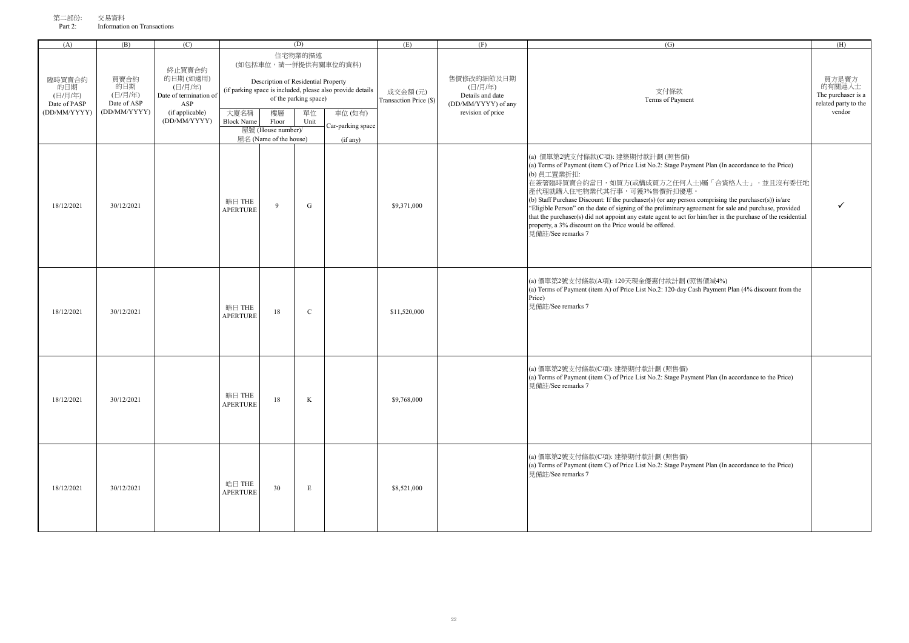| (A)                                                      | (B)                                                   | (C)                                                                                               |                           |                                                                          | (D)                                            |                                                                                                                    | (E)                               | (F)                                                                                   | (G)                      | (H)                                               |
|----------------------------------------------------------|-------------------------------------------------------|---------------------------------------------------------------------------------------------------|---------------------------|--------------------------------------------------------------------------|------------------------------------------------|--------------------------------------------------------------------------------------------------------------------|-----------------------------------|---------------------------------------------------------------------------------------|--------------------------|---------------------------------------------------|
| 臨時買賣合約<br>的日期<br>(日/月/年)<br>Date of PASP<br>(DD/MM/YYYY) | 買賣合約<br>的日期<br>(日/月/年)<br>Date of ASP<br>(DD/MM/YYYY) | 終止買賣合約<br>的日期(如適用)<br>(日/月/年)<br>Date of termination of<br>ASP<br>(if applicable)<br>(DD/MM/YYYY) | 大廈名稱<br><b>Block Name</b> | Description of Residential Property<br>樓層<br>Floor<br>屋號 (House number)/ | 住宅物業的描述<br>of the parking space)<br>單位<br>Unit | (如包括車位,請一併提供有關車位的資料)<br>(if parking space is included, please also provide details<br>車位 (如有)<br>Car-parking space | 成交金額(元)<br>Transaction Price (\$) | 售價修改的細節及日期<br>(日/月/年)<br>Details and date<br>(DD/MM/YYYY) of any<br>revision of price | 支付條款<br>Terms of Payment | 買方是<br>的有關連<br>The purcha<br>related part<br>vend |
|                                                          |                                                       |                                                                                                   |                           | 屋名 (Name of the house)                                                   |                                                | (if any)                                                                                                           |                                   |                                                                                       |                          |                                                   |

|            |            | Car-parking space<br>Car-parking space |                           | 屋號 (House number)/     |             |          |              |                                                                                                                                                                                                                                                                                                                                                                                                                                                                                                                                                                                                                                                  |  |
|------------|------------|----------------------------------------|---------------------------|------------------------|-------------|----------|--------------|--------------------------------------------------------------------------------------------------------------------------------------------------------------------------------------------------------------------------------------------------------------------------------------------------------------------------------------------------------------------------------------------------------------------------------------------------------------------------------------------------------------------------------------------------------------------------------------------------------------------------------------------------|--|
|            |            |                                        |                           | 屋名 (Name of the house) |             | (if any) |              |                                                                                                                                                                                                                                                                                                                                                                                                                                                                                                                                                                                                                                                  |  |
| 18/12/2021 | 30/12/2021 |                                        | 皓日 THE<br>APERTURE        | 9                      | G           |          | \$9,371,000  | (a) 價單第2號支付條款(C項): 建築期付款計劃 (照售價)<br>(a) Terms of Payment (item C) of Price List No.2: Stage Payment Plan (In accordance to the Price)<br>(b) 員工置業折扣:<br>在簽署臨時買賣合約當日,如買方(或構成買方之任何人士)屬「合資格人士」,並且沒有委任地<br>產代理就購入住宅物業代其行事,可獲3%售價折扣優惠。<br>(b) Staff Purchase Discount: If the purchaser(s) (or any person comprising the purchaser(s)) is/are<br>"Eligible Person" on the date of signing of the preliminary agreement for sale and purchase, provided<br>that the purchaser(s) did not appoint any estate agent to act for him/her in the purchase of the residential<br>property, a 3% discount on the Price would be offered.<br>見備許/See remarks 7 |  |
| 18/12/2021 | 30/12/2021 |                                        | 皓日 THE<br><b>APERTURE</b> | 18                     | $\mathbf C$ |          | \$11,520,000 | (a) 價單第2號支付條款(A項): 120天現金優惠付款計劃 (照售價減4%)<br>(a) Terms of Payment (item A) of Price List No.2: 120-day Cash Payment Plan (4% discount from the<br>Price)<br>見備註/See remarks 7                                                                                                                                                                                                                                                                                                                                                                                                                                                                     |  |
| 18/12/2021 | 30/12/2021 |                                        | 皓日 THE<br><b>APERTURE</b> | 18                     | $\rm K$     |          | \$9,768,000  | (a) 價單第2號支付條款(C項): 建築期付款計劃 (照售價)<br>(a) Terms of Payment (item C) of Price List No.2: Stage Payment Plan (In accordance to the Price)<br>見備註/See remarks 7                                                                                                                                                                                                                                                                                                                                                                                                                                                                                       |  |
| 18/12/2021 | 30/12/2021 |                                        | 皓日 THE<br><b>APERTURE</b> | 30                     | $\mathbf E$ |          | \$8,521,000  | (a) 價單第2號支付條款(C項): 建築期付款計劃 (照售價)<br>(a) Terms of Payment (item C) of Price List No.2: Stage Payment Plan (In accordance to the Price)<br>見備註/See remarks 7                                                                                                                                                                                                                                                                                                                                                                                                                                                                                       |  |

買方是賣方 的有關連人士 The purchaser is a related party to the vendor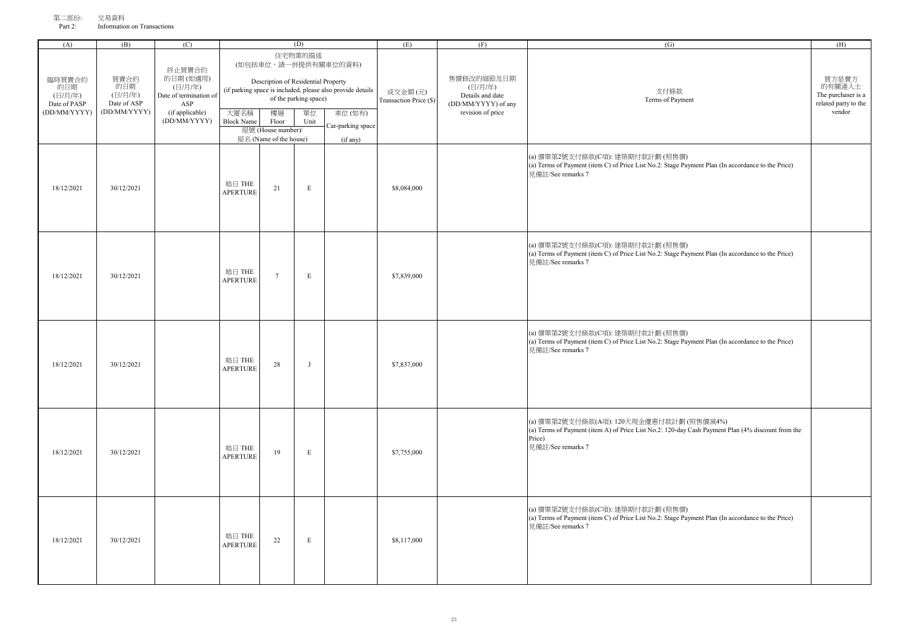| オマー・ロアリケー<br>Part 2: | <b>AMRTI</b><br>Information on Transactions |               |        |      |     |
|----------------------|---------------------------------------------|---------------|--------|------|-----|
|                      | (B)                                         | (D)           | ' IS I | (11) | (H) |
|                      |                                             | <b>『的業的描述</b> |        |      |     |

| 臨時買賣合約<br>的日期<br>(日/月/年)<br>Date of PASP<br>(DD/MM/YYYY) | 買賣合約<br>的日期<br>(日/月/年)<br>Date of ASP<br>(DD/MM/YYYY) | 終止買賣合約<br>的日期(如適用)<br>(日/月/年)<br>Date of termination of<br>ASP<br>(if applicable)<br>(DD/MM/YYYY) | 大廈名稱<br><b>Block Name</b> | Description of Residential Property<br>樓層<br>Floor<br>屋號 (House number)/<br>屋名 (Name of the house) | 住宅物業的描述<br>of the parking space)<br>單位<br>Unit | (如包括車位,請一併提供有關車位的資料)<br>(if parking space is included, please also provide details<br>車位(如有)<br>Car-parking space<br>(if any) | 成交金額(元)<br>Transaction Price (\$) | 售價修改的細節及日期<br>(日/月/年)<br>Details and date<br>(DD/MM/YYYY) of any<br>revision of price | 支付條款<br>Terms of Payment                                                                                                                                                     | 買方是賣方<br>的有關連人士<br>The purchaser is a<br>related party to the<br>vendor |
|----------------------------------------------------------|-------------------------------------------------------|---------------------------------------------------------------------------------------------------|---------------------------|----------------------------------------------------------------------------------------------------|------------------------------------------------|-------------------------------------------------------------------------------------------------------------------------------|-----------------------------------|---------------------------------------------------------------------------------------|------------------------------------------------------------------------------------------------------------------------------------------------------------------------------|-------------------------------------------------------------------------|
| 18/12/2021                                               | 30/12/2021                                            |                                                                                                   | 皓日 THE<br><b>APERTURE</b> | 21                                                                                                 | $\mathbf E$                                    |                                                                                                                               | \$8,084,000                       |                                                                                       | (a) 價單第2號支付條款(C項): 建築期付款計劃 (照售價)<br>(a) Terms of Payment (item C) of Price List No.2: Stage Payment Plan (In accordance to the Price)<br>見備註/See remarks 7                   |                                                                         |
| 18/12/2021                                               | 30/12/2021                                            |                                                                                                   | 皓日 THE<br><b>APERTURE</b> | $\overline{7}$                                                                                     | E                                              |                                                                                                                               | \$7,839,000                       |                                                                                       | (a) 價單第2號支付條款(C項): 建築期付款計劃 (照售價)<br>(a) Terms of Payment (item C) of Price List No.2: Stage Payment Plan (In accordance to the Price)<br>見備註/See remarks 7                   |                                                                         |
| 18/12/2021                                               | 30/12/2021                                            |                                                                                                   | 皓日 THE<br><b>APERTURE</b> | 28                                                                                                 | - 1                                            |                                                                                                                               | \$7,837,000                       |                                                                                       | (a) 價單第2號支付條款(C項): 建築期付款計劃 (照售價)<br>(a) Terms of Payment (item C) of Price List No.2: Stage Payment Plan (In accordance to the Price)<br>見備註/See remarks 7                   |                                                                         |
| 18/12/2021                                               | 30/12/2021                                            |                                                                                                   | 皓日 THE<br><b>APERTURE</b> | 19                                                                                                 | E                                              |                                                                                                                               | \$7,755,000                       |                                                                                       | (a) 價單第2號支付條款(A項): 120天現金優惠付款計劃 (照售價減4%)<br>(a) Terms of Payment (item A) of Price List No.2: 120-day Cash Payment Plan (4% discount from the<br>Price)<br>見備註/See remarks 7 |                                                                         |
| 18/12/2021                                               | 30/12/2021                                            |                                                                                                   | 皓日 THE<br><b>APERTURE</b> | 22                                                                                                 | $\mathbf E$                                    |                                                                                                                               | \$8,117,000                       |                                                                                       | (a) 價單第2號支付條款(C項): 建築期付款計劃 (照售價)<br>(a) Terms of Payment (item C) of Price List No.2: Stage Payment Plan (In accordance to the Price)<br>見備註/See remarks 7                   |                                                                         |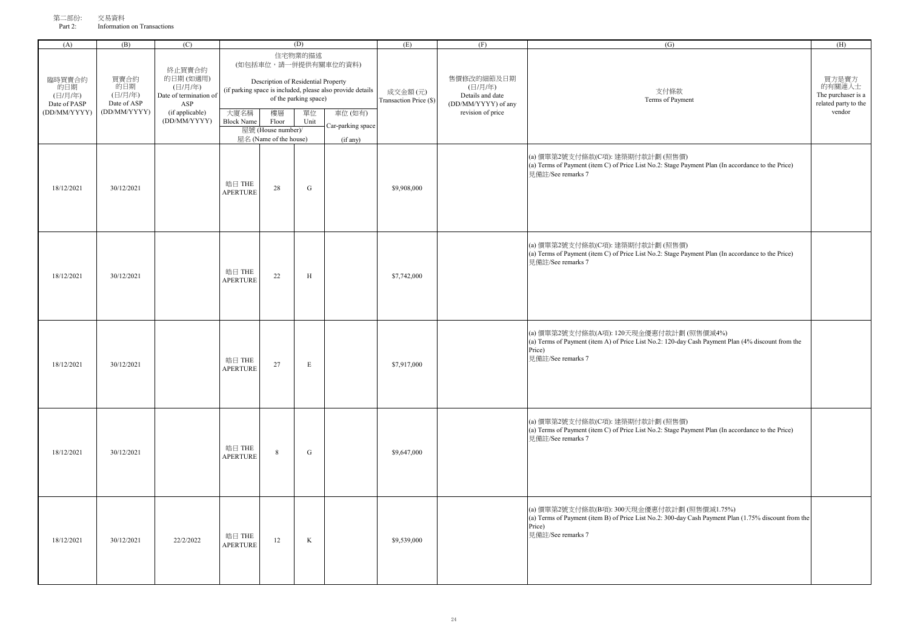| , - 1111<br>Part 2: | 人勿只怕<br>Information on Transactions |   |  |
|---------------------|-------------------------------------|---|--|
| (A                  | ь                                   | P |  |

| (A)                                                      | (B)                                                   | (C)                                                                                               |                           |                                                                                                    | (D)                                            |                                                                                                                               | (E)                               | (F)                                                                                   | (G)                                                                                                                                                                                | (H)                                                                     |
|----------------------------------------------------------|-------------------------------------------------------|---------------------------------------------------------------------------------------------------|---------------------------|----------------------------------------------------------------------------------------------------|------------------------------------------------|-------------------------------------------------------------------------------------------------------------------------------|-----------------------------------|---------------------------------------------------------------------------------------|------------------------------------------------------------------------------------------------------------------------------------------------------------------------------------|-------------------------------------------------------------------------|
| 臨時買賣合約<br>的日期<br>(日/月/年)<br>Date of PASP<br>(DD/MM/YYYY) | 買賣合約<br>的日期<br>(日/月/年)<br>Date of ASP<br>(DD/MM/YYYY) | 終止買賣合約<br>的日期(如適用)<br>(日/月/年)<br>Date of termination of<br>ASP<br>(if applicable)<br>(DD/MM/YYYY) | 大廈名稱<br><b>Block Name</b> | Description of Residential Property<br>樓層<br>Floor<br>屋號 (House number)/<br>屋名 (Name of the house) | 住宅物業的描述<br>of the parking space)<br>單位<br>Unit | (如包括車位,請一併提供有關車位的資料)<br>(if parking space is included, please also provide details<br>車位(如有)<br>Car-parking space<br>(if any) | 成交金額(元)<br>Transaction Price (\$) | 售價修改的細節及日期<br>(日/月/年)<br>Details and date<br>(DD/MM/YYYY) of any<br>revision of price | 支付條款<br>Terms of Payment                                                                                                                                                           | 買方是賣方<br>的有關連人士<br>The purchaser is a<br>related party to the<br>vendor |
| 18/12/2021                                               | 30/12/2021                                            |                                                                                                   | 皓日 THE<br>APERTURE        | 28                                                                                                 | ${\bf G}$                                      |                                                                                                                               | \$9,908,000                       |                                                                                       | (a) 價單第2號支付條款(C項): 建築期付款計劃 (照售價)<br>(a) Terms of Payment (item C) of Price List No.2: Stage Payment Plan (In accordance to the Price)<br>見備註/See remarks 7                         |                                                                         |
| 18/12/2021                                               | 30/12/2021                                            |                                                                                                   | 皓日 THE<br><b>APERTURE</b> | 22                                                                                                 | H                                              |                                                                                                                               | \$7,742,000                       |                                                                                       | (a) 價單第2號支付條款(C項): 建築期付款計劃 (照售價)<br>(a) Terms of Payment (item C) of Price List No.2: Stage Payment Plan (In accordance to the Price)<br>見備註/See remarks 7                         |                                                                         |
| 18/12/2021                                               | 30/12/2021                                            |                                                                                                   | 皓日 THE<br>APERTURE        | 27                                                                                                 | $\mathbf E$                                    |                                                                                                                               | \$7,917,000                       |                                                                                       | (a) 價單第2號支付條款(A項): 120天現金優惠付款計劃 (照售價減4%)<br>(a) Terms of Payment (item A) of Price List No.2: 120-day Cash Payment Plan (4% discount from the<br>Price)<br>見備註/See remarks 7       |                                                                         |
| 18/12/2021                                               | 30/12/2021                                            |                                                                                                   | 皓日 THE<br>APERTURE        | 8                                                                                                  | ${\bf G}$                                      |                                                                                                                               | \$9,647,000                       |                                                                                       | (a) 價單第2號支付條款(C項): 建築期付款計劃 (照售價)<br>(a) Terms of Payment (item C) of Price List No.2: Stage Payment Plan (In accordance to the Price)<br>見備註/See remarks 7                         |                                                                         |
| 18/12/2021                                               | 30/12/2021                                            | 22/2/2022                                                                                         | 皓日 THE<br><b>APERTURE</b> | 12                                                                                                 | $\rm K$                                        |                                                                                                                               | \$9,539,000                       |                                                                                       | (a) 價單第2號支付條款(B項): 300天現金優惠付款計劃 (照售價減1.75%)<br>(a) Terms of Payment (item B) of Price List No.2: 300-day Cash Payment Plan (1.75% discount from the<br>Price)<br>見備註/See remarks 7 |                                                                         |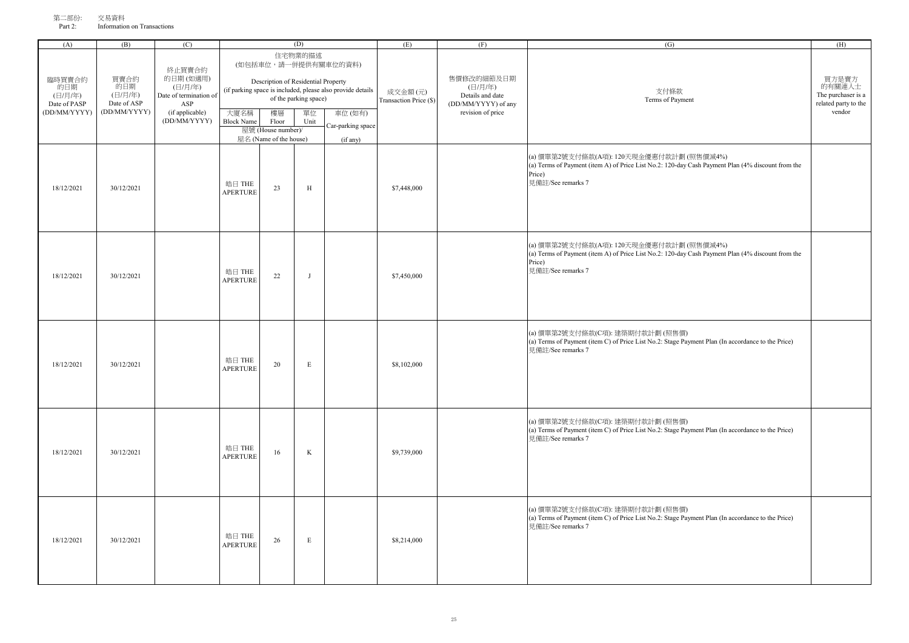| $\sim$ Information on Transactions |                                      |  |     |
|------------------------------------|--------------------------------------|--|-----|
|                                    |                                      |  | (H) |
|                                    | 住宅物業的描述<br>一併提供右關宙位的咨判)<br>(加句牡宙位,略一 |  |     |

| 臨時買賣合約<br>的日期<br>(日/月/年)<br>Date of PASP<br>(DD/MM/YYYY) | 買賣合約<br>的日期<br>(日/月/年)<br>Date of ASP<br>(DD/MM/YYYY) | 終止買賣合約<br>的日期(如適用)<br>(日/月/年)<br>Date of termination of<br>ASP<br>(if applicable)<br>(DD/MM/YYYY) | 大廈名稱<br><b>Block Name</b> | Description of Residential Property<br>樓層<br>Floor<br>屋號 (House number)/<br>屋名 (Name of the house) | 住宅物業的描述<br>of the parking space)<br>單位<br>Unit | (如包括車位,請一併提供有關車位的資料)<br>(if parking space is included, please also provide details<br>車位 (如有)<br>Car-parking space<br>(if any) | 成交金額(元)<br>Transaction Price (\$) | 售價修改的細節及日期<br>(日/月/年)<br>Details and date<br>(DD/MM/YYYY) of any<br>revision of price | 支付條款<br>Terms of Payment                                                                                                                                                     | 買方是賣方<br>的有關連人士<br>The purchaser is a<br>related party to the<br>vendor |
|----------------------------------------------------------|-------------------------------------------------------|---------------------------------------------------------------------------------------------------|---------------------------|----------------------------------------------------------------------------------------------------|------------------------------------------------|--------------------------------------------------------------------------------------------------------------------------------|-----------------------------------|---------------------------------------------------------------------------------------|------------------------------------------------------------------------------------------------------------------------------------------------------------------------------|-------------------------------------------------------------------------|
| 18/12/2021                                               | 30/12/2021                                            |                                                                                                   | 皓日 THE<br><b>APERTURE</b> | 23                                                                                                 | $\, {\rm H}$                                   |                                                                                                                                | \$7,448,000                       |                                                                                       | (a) 價單第2號支付條款(A項): 120天現金優惠付款計劃 (照售價減4%)<br>(a) Terms of Payment (item A) of Price List No.2: 120-day Cash Payment Plan (4% discount from the<br>Price)<br>見備註/See remarks 7 |                                                                         |
| 18/12/2021                                               | 30/12/2021                                            |                                                                                                   | 皓日 THE<br><b>APERTURE</b> | 22                                                                                                 | J                                              |                                                                                                                                | \$7,450,000                       |                                                                                       | (a) 價單第2號支付條款(A項): 120天現金優惠付款計劃 (照售價減4%)<br>(a) Terms of Payment (item A) of Price List No.2: 120-day Cash Payment Plan (4% discount from the<br>Price)<br>見備註/See remarks 7 |                                                                         |
| 18/12/2021                                               | 30/12/2021                                            |                                                                                                   | 皓日 THE<br><b>APERTURE</b> | 20                                                                                                 | $\mathbf E$                                    |                                                                                                                                | \$8,102,000                       |                                                                                       | (a) 價單第2號支付條款(C項): 建築期付款計劃 (照售價)<br>(a) Terms of Payment (item C) of Price List No.2: Stage Payment Plan (In accordance to the Price)<br>見備註/See remarks 7                   |                                                                         |
| 18/12/2021                                               | 30/12/2021                                            |                                                                                                   | 皓日 THE<br><b>APERTURE</b> | 16                                                                                                 | $\bf K$                                        |                                                                                                                                | \$9,739,000                       |                                                                                       | (a) 價單第2號支付條款(C項): 建築期付款計劃 (照售價)<br>(a) Terms of Payment (item C) of Price List No.2: Stage Payment Plan (In accordance to the Price)<br>見備註/See remarks 7                   |                                                                         |
| 18/12/2021                                               | 30/12/2021                                            |                                                                                                   | 皓日 THE<br><b>APERTURE</b> | 26                                                                                                 | $\mathbf E$                                    |                                                                                                                                | \$8,214,000                       |                                                                                       | (a) 價單第2號支付條款(C項): 建築期付款計劃 (照售價)<br>(a) Terms of Payment (item C) of Price List No.2: Stage Payment Plan (In accordance to the Price)<br>見備註/See remarks 7                   |                                                                         |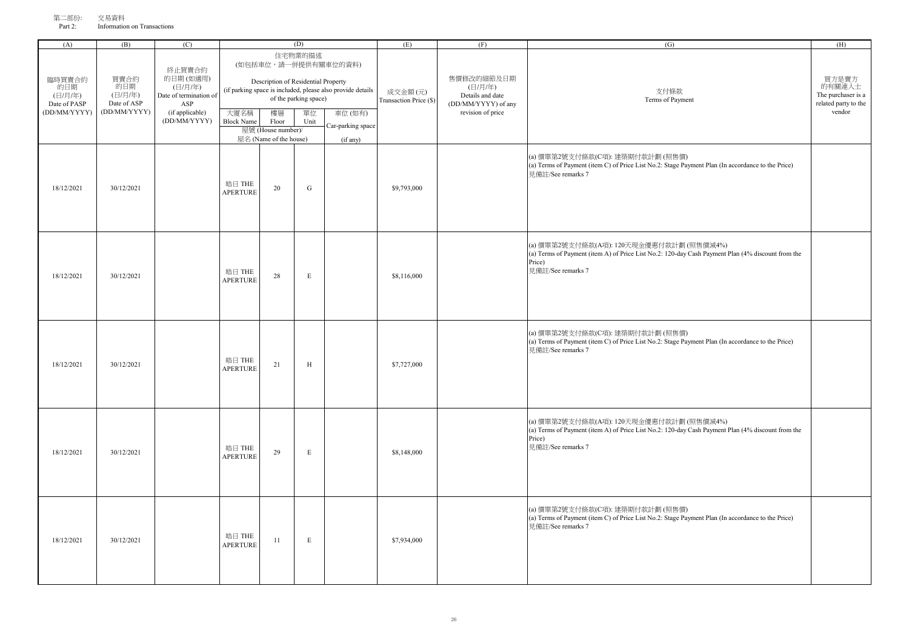| フィー・ロマリス・<br>Part 2: | $-22.22211$<br>Information on Transactions |         |                                 |  |     |
|----------------------|--------------------------------------------|---------|---------------------------------|--|-----|
|                      | ו הו                                       |         | (D)                             |  | (H) |
|                      |                                            | 动工 亚索人丛 | 住宅物業的描述<br>(如包括車位,請一併提供有關車位的資料) |  |     |

| 臨時買賣合約<br>的日期<br>(日/月/年)<br>Date of PASP<br>(DD/MM/YYYY) | 買賣合約<br>的日期<br>(日/月/年)<br>Date of ASP<br>(DD/MM/YYYY) | 終止買賣合約<br>的日期(如適用)<br>(日/月/年)<br>Date of termination of<br>ASP<br>(if applicable)<br>(DD/MM/YYYY) | 大廈名稱<br><b>Block Name</b> | Description of Residential Property<br>樓層<br>Floor<br>屋號 (House number)/<br>屋名 (Name of the house) | 住宅物業的描述<br>of the parking space)<br>單位<br>Unit | (如包括車位,請一併提供有關車位的資料)<br>(if parking space is included, please also provide details<br>車位(如有)<br>Car-parking space<br>(if any) | 成交金額(元)<br>Transaction Price (\$) | 售價修改的細節及日期<br>(日/月/年)<br>Details and date<br>(DD/MM/YYYY) of any<br>revision of price | 支付條款<br>Terms of Payment                                                                                                                                                     | 買方是賣方<br>的有關連人士<br>The purchaser is a<br>related party to the<br>vendor |
|----------------------------------------------------------|-------------------------------------------------------|---------------------------------------------------------------------------------------------------|---------------------------|----------------------------------------------------------------------------------------------------|------------------------------------------------|-------------------------------------------------------------------------------------------------------------------------------|-----------------------------------|---------------------------------------------------------------------------------------|------------------------------------------------------------------------------------------------------------------------------------------------------------------------------|-------------------------------------------------------------------------|
| 18/12/2021                                               | 30/12/2021                                            |                                                                                                   | 皓日 THE<br><b>APERTURE</b> | 20                                                                                                 | ${\bf G}$                                      |                                                                                                                               | \$9,793,000                       |                                                                                       | (a) 價單第2號支付條款(C項): 建築期付款計劃 (照售價)<br>(a) Terms of Payment (item C) of Price List No.2: Stage Payment Plan (In accordance to the Price)<br>見備註/See remarks 7                   |                                                                         |
| 18/12/2021                                               | 30/12/2021                                            |                                                                                                   | 皓日 THE<br><b>APERTURE</b> | 28                                                                                                 | $\mathbf E$                                    |                                                                                                                               | \$8,116,000                       |                                                                                       | (a) 價單第2號支付條款(A項): 120天現金優惠付款計劃 (照售價減4%)<br>(a) Terms of Payment (item A) of Price List No.2: 120-day Cash Payment Plan (4% discount from the<br>Price)<br>見備註/See remarks 7 |                                                                         |
| 18/12/2021                                               | 30/12/2021                                            |                                                                                                   | 皓日 THE<br><b>APERTURE</b> | 21                                                                                                 | H                                              |                                                                                                                               | \$7,727,000                       |                                                                                       | (a) 價單第2號支付條款(C項): 建築期付款計劃 (照售價)<br>(a) Terms of Payment (item C) of Price List No.2: Stage Payment Plan (In accordance to the Price)<br>見備註/See remarks 7                   |                                                                         |
| 18/12/2021                                               | 30/12/2021                                            |                                                                                                   | 皓日 THE<br><b>APERTURE</b> | 29                                                                                                 | $\mathbf E$                                    |                                                                                                                               | \$8,148,000                       |                                                                                       | (a) 價單第2號支付條款(A項): 120天現金優惠付款計劃 (照售價減4%)<br>(a) Terms of Payment (item A) of Price List No.2: 120-day Cash Payment Plan (4% discount from the<br>Price)<br>見備註/See remarks 7 |                                                                         |
| 18/12/2021                                               | 30/12/2021                                            |                                                                                                   | 皓日 THE<br><b>APERTURE</b> | 11                                                                                                 | $\mathbf E$                                    |                                                                                                                               | \$7,934,000                       |                                                                                       | (a) 價單第2號支付條款(C項): 建築期付款計劃 (照售價)<br>(a) Terms of Payment (item C) of Price List No.2: Stage Payment Plan (In accordance to the Price)<br>見備註/See remarks 7                   |                                                                         |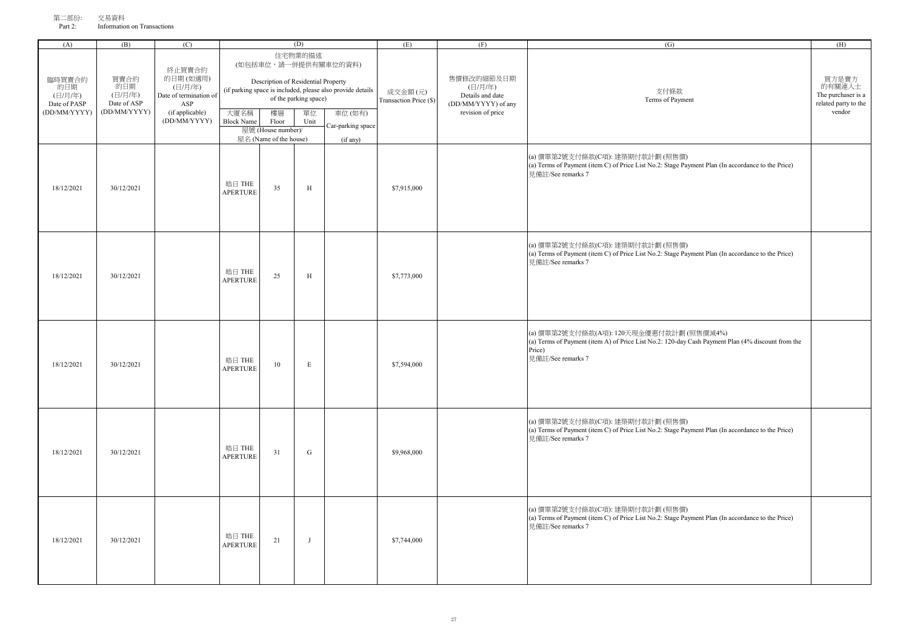| オマーーロッシュ・<br>Part 2: | $\sim$ 22 $\sim$ 11<br>Information on Transactions |   |         |    |
|----------------------|----------------------------------------------------|---|---------|----|
| (A                   | B)                                                 | ◡ |         | ŒΕ |
|                      |                                                    |   | 在安藤坐在村镇 |    |

| (A)                                                      | (B)                                                   | (C)                                                                               |                           | (D)                                       |                                        | (E)                                                                                          | (F)                               | $\overline{(G)}$                                                                      | (H)                                                                                                                                                                          |                                                                         |
|----------------------------------------------------------|-------------------------------------------------------|-----------------------------------------------------------------------------------|---------------------------|-------------------------------------------|----------------------------------------|----------------------------------------------------------------------------------------------|-----------------------------------|---------------------------------------------------------------------------------------|------------------------------------------------------------------------------------------------------------------------------------------------------------------------------|-------------------------------------------------------------------------|
| 臨時買賣合約<br>的日期<br>(日/月/年)<br>Date of PASP<br>(DD/MM/YYYY) | 買賣合約<br>的日期<br>(日/月/年)<br>Date of ASP<br>(DD/MM/YYYY) | 終止買賣合約<br>的日期(如適用)<br>(日/月/年)<br>Date of termination of<br>ASP<br>(if applicable) | 大廈名稱                      | Description of Residential Property<br>樓層 | 住宅物業的描述<br>of the parking space)<br>單位 | (如包括車位,請一併提供有關車位的資料)<br>(if parking space is included, please also provide details<br>車位(如有) | 成交金額(元)<br>Transaction Price (\$) | 售價修改的細節及日期<br>(日/月/年)<br>Details and date<br>(DD/MM/YYYY) of any<br>revision of price | 支付條款<br>Terms of Payment                                                                                                                                                     | 買方是賣方<br>的有關連人士<br>The purchaser is a<br>related party to the<br>vendor |
|                                                          |                                                       | (DD/MM/YYYY)                                                                      | <b>Block Name</b>         | Floor<br>屋號 (House number)/               | Unit                                   | Car-parking space                                                                            |                                   |                                                                                       |                                                                                                                                                                              |                                                                         |
| 18/12/2021                                               | 30/12/2021                                            |                                                                                   | 皓日 THE<br><b>APERTURE</b> | 屋名 (Name of the house)<br>35              | H                                      | (if any)                                                                                     | \$7,915,000                       |                                                                                       | (a) 價單第2號支付條款(C項): 建築期付款計劃 (照售價)<br>(a) Terms of Payment (item C) of Price List No.2: Stage Payment Plan (In accordance to the Price)<br>見備計/See remarks 7                   |                                                                         |
| 18/12/2021                                               | 30/12/2021                                            |                                                                                   | 皓日 THE<br><b>APERTURE</b> | 25                                        | H                                      |                                                                                              | \$7,773,000                       |                                                                                       | (a) 價單第2號支付條款(C項): 建築期付款計劃 (照售價)<br>(a) Terms of Payment (item C) of Price List No.2: Stage Payment Plan (In accordance to the Price)<br>見備註/See remarks 7                   |                                                                         |
| 18/12/2021                                               | 30/12/2021                                            |                                                                                   | 皓日 THE<br><b>APERTURE</b> | 10                                        | $\mathbf E$                            |                                                                                              | \$7,594,000                       |                                                                                       | (a) 價單第2號支付條款(A項): 120天現金優惠付款計劃 (照售價減4%)<br>(a) Terms of Payment (item A) of Price List No.2: 120-day Cash Payment Plan (4% discount from the<br>Price)<br>見備註/See remarks 7 |                                                                         |
| 18/12/2021                                               | 30/12/2021                                            |                                                                                   | 皓日 THE<br><b>APERTURE</b> | 31                                        | ${\bf G}$                              |                                                                                              | \$9,968,000                       |                                                                                       | (a) 價單第2號支付條款(C項): 建築期付款計劃 (照售價)<br>(a) Terms of Payment (item C) of Price List No.2: Stage Payment Plan (In accordance to the Price)<br>見備註/See remarks 7                   |                                                                         |
| 18/12/2021                                               | 30/12/2021                                            |                                                                                   | 皓日 THE<br><b>APERTURE</b> | 21                                        | J                                      |                                                                                              | \$7,744,000                       |                                                                                       | (a) 價單第2號支付條款(C項): 建築期付款計劃 (照售價)<br>(a) Terms of Payment (item C) of Price List No.2: Stage Payment Plan (In accordance to the Price)<br>見備計/See remarks 7                   |                                                                         |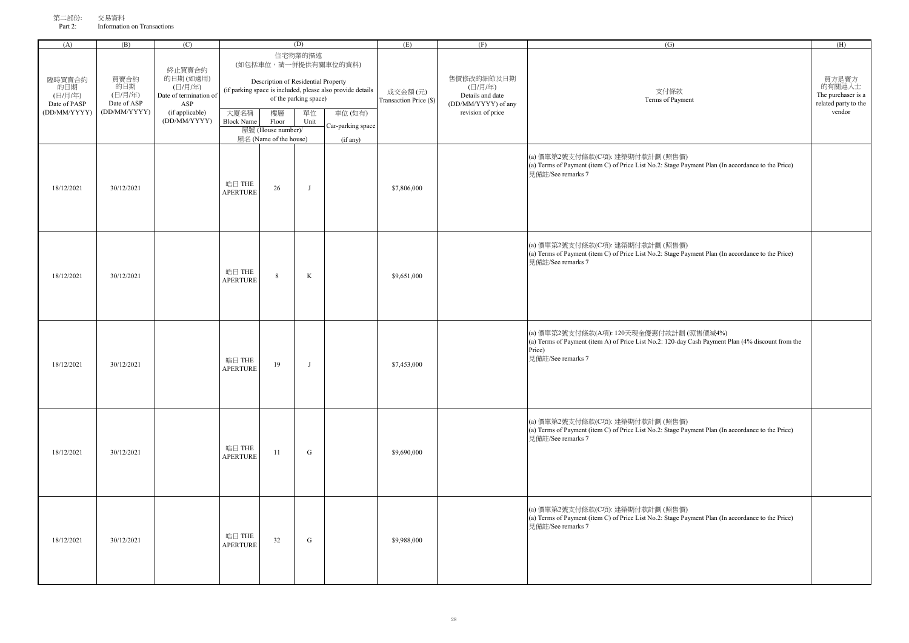| オマー・ロドリノコ・<br>Part 2: | $\sim$ 22 $\sim$ 11<br>Information on Transactions |   |     |  |
|-----------------------|----------------------------------------------------|---|-----|--|
| ີ                     | (B)                                                | ◡ | . L |  |
|                       |                                                    |   |     |  |

| (A)                                                      | (B)                                                   | (C)                                                                                               |                           |                                                                                                    | (D)                                            |                                                                                                                               | (E)                               | (F)                                                                                   | (G)                                                                                                                                                                          | (H)                                                                     |
|----------------------------------------------------------|-------------------------------------------------------|---------------------------------------------------------------------------------------------------|---------------------------|----------------------------------------------------------------------------------------------------|------------------------------------------------|-------------------------------------------------------------------------------------------------------------------------------|-----------------------------------|---------------------------------------------------------------------------------------|------------------------------------------------------------------------------------------------------------------------------------------------------------------------------|-------------------------------------------------------------------------|
| 臨時買賣合約<br>的日期<br>(日/月/年)<br>Date of PASP<br>(DD/MM/YYYY) | 買賣合約<br>的日期<br>(日/月/年)<br>Date of ASP<br>(DD/MM/YYYY) | 終止買賣合約<br>的日期(如適用)<br>(日/月/年)<br>Date of termination of<br>ASP<br>(if applicable)<br>(DD/MM/YYYY) | 大廈名稱<br><b>Block Name</b> | Description of Residential Property<br>樓層<br>Floor<br>屋號 (House number)/<br>屋名 (Name of the house) | 住宅物業的描述<br>of the parking space)<br>單位<br>Unit | (如包括車位,請一併提供有關車位的資料)<br>(if parking space is included, please also provide details<br>車位(如有)<br>Car-parking space<br>(if any) | 成交金額(元)<br>Transaction Price (\$) | 售價修改的細節及日期<br>(日/月/年)<br>Details and date<br>(DD/MM/YYYY) of any<br>revision of price | 支付條款<br>Terms of Payment                                                                                                                                                     | 買方是賣方<br>的有關連人士<br>The purchaser is a<br>related party to the<br>vendor |
| 18/12/2021                                               | 30/12/2021                                            |                                                                                                   | 皓日 THE<br><b>APERTURE</b> | 26                                                                                                 | J                                              |                                                                                                                               | \$7,806,000                       |                                                                                       | (a) 價單第2號支付條款(C項): 建築期付款計劃 (照售價)<br>(a) Terms of Payment (item C) of Price List No.2: Stage Payment Plan (In accordance to the Price)<br>見備註/See remarks 7                   |                                                                         |
| 18/12/2021                                               | 30/12/2021                                            |                                                                                                   | 皓日 THE<br><b>APERTURE</b> | $\,8\,$                                                                                            | $\rm K$                                        |                                                                                                                               | \$9,651,000                       |                                                                                       | (a) 價單第2號支付條款(C項): 建築期付款計劃 (照售價)<br>(a) Terms of Payment (item C) of Price List No.2: Stage Payment Plan (In accordance to the Price)<br>見備註/See remarks 7                   |                                                                         |
| 18/12/2021                                               | 30/12/2021                                            |                                                                                                   | 皓日 THE<br><b>APERTURE</b> | 19                                                                                                 | J                                              |                                                                                                                               | \$7,453,000                       |                                                                                       | (a) 價單第2號支付條款(A項): 120天現金優惠付款計劃 (照售價減4%)<br>(a) Terms of Payment (item A) of Price List No.2: 120-day Cash Payment Plan (4% discount from the<br>Price)<br>見備註/See remarks 7 |                                                                         |
| 18/12/2021                                               | 30/12/2021                                            |                                                                                                   | 皓日 THE<br><b>APERTURE</b> | 11                                                                                                 | ${\bf G}$                                      |                                                                                                                               | \$9,690,000                       |                                                                                       | (a) 價單第2號支付條款(C項): 建築期付款計劃 (照售價)<br>(a) Terms of Payment (item C) of Price List No.2: Stage Payment Plan (In accordance to the Price)<br>見備註/See remarks 7                   |                                                                         |
| 18/12/2021                                               | 30/12/2021                                            |                                                                                                   | 皓日 THE<br><b>APERTURE</b> | 32                                                                                                 | ${\bf G}$                                      |                                                                                                                               | \$9,988,000                       |                                                                                       | (a) 價單第2號支付條款(C項): 建築期付款計劃 (照售價)<br>(a) Terms of Payment (item C) of Price List No.2: Stage Payment Plan (In accordance to the Price)<br>見備註/See remarks 7                   |                                                                         |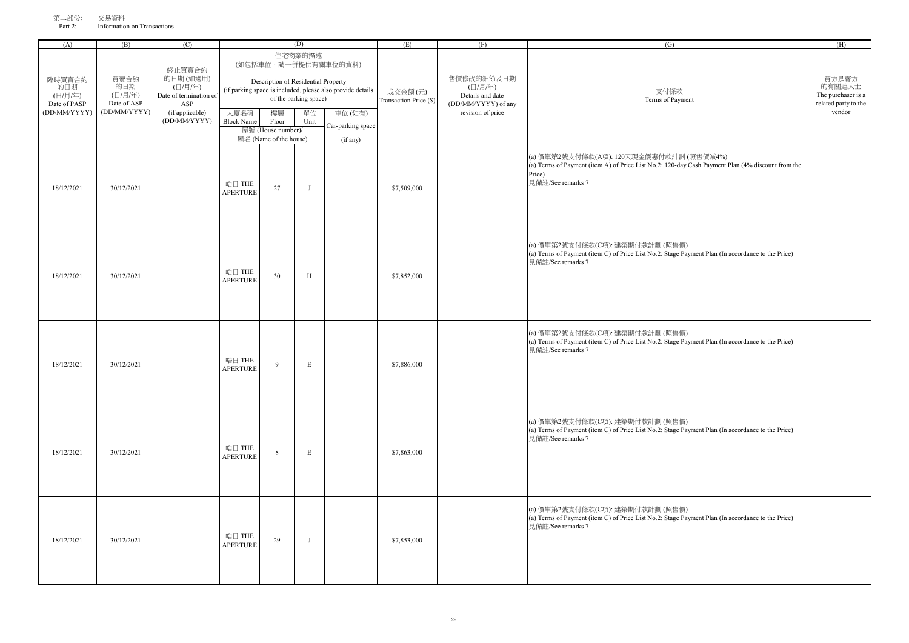| $-1 - 1 - 1$<br>Part 2: | 人勿米门<br>Information on Transactions |       |  |             |
|-------------------------|-------------------------------------|-------|--|-------------|
|                         | (B)                                 |       |  | (TT)<br>(H) |
|                         |                                     | "举的描。 |  |             |

| 臨時買賣合約<br>的日期<br>(日/月/年)<br>Date of PASP<br>(DD/MM/YYYY) | 買賣合約<br>的日期<br>(日/月/年)<br>Date of ASP<br>(DD/MM/YYYY) | 終止買賣合約<br>的日期(如適用)<br>(日/月/年)<br>Date of termination of<br>ASP<br>(if applicable)<br>(DD/MM/YYYY) | 大廈名稱<br><b>Block Name</b> | Description of Residential Property<br>樓層<br>Floor<br>屋號 (House number)/<br>屋名 (Name of the house) | 住宅物業的描述<br>of the parking space)<br>單位<br>Unit | (如包括車位,請一併提供有關車位的資料)<br>(if parking space is included, please also provide details<br>車位(如有)<br>Car-parking space<br>(if any) | 成交金額(元)<br>Transaction Price (\$) | 售價修改的細節及日期<br>(日/月/年)<br>Details and date<br>(DD/MM/YYYY) of any<br>revision of price | 支付條款<br>Terms of Payment                                                                                                                                                     | 買方是賣方<br>的有關連人士<br>The purchaser is a<br>related party to the<br>vendor |
|----------------------------------------------------------|-------------------------------------------------------|---------------------------------------------------------------------------------------------------|---------------------------|----------------------------------------------------------------------------------------------------|------------------------------------------------|-------------------------------------------------------------------------------------------------------------------------------|-----------------------------------|---------------------------------------------------------------------------------------|------------------------------------------------------------------------------------------------------------------------------------------------------------------------------|-------------------------------------------------------------------------|
| 18/12/2021                                               | 30/12/2021                                            |                                                                                                   | 皓日 THE<br><b>APERTURE</b> | 27                                                                                                 | $\mathbf{J}$                                   |                                                                                                                               | \$7,509,000                       |                                                                                       | (a) 價單第2號支付條款(A項): 120天現金優惠付款計劃 (照售價減4%)<br>(a) Terms of Payment (item A) of Price List No.2: 120-day Cash Payment Plan (4% discount from the<br>Price)<br>見備註/See remarks 7 |                                                                         |
| 18/12/2021                                               | 30/12/2021                                            |                                                                                                   | 皓日 THE<br><b>APERTURE</b> | 30                                                                                                 | $\rm H$                                        |                                                                                                                               | \$7,852,000                       |                                                                                       | (a) 價單第2號支付條款(C項): 建築期付款計劃 (照售價)<br>(a) Terms of Payment (item C) of Price List No.2: Stage Payment Plan (In accordance to the Price)<br>見備註/See remarks 7                   |                                                                         |
| 18/12/2021                                               | 30/12/2021                                            |                                                                                                   | 皓日 THE<br><b>APERTURE</b> | 9                                                                                                  | $\mathbf E$                                    |                                                                                                                               | \$7,886,000                       |                                                                                       | (a) 價單第2號支付條款(C項): 建築期付款計劃 (照售價)<br>(a) Terms of Payment (item C) of Price List No.2: Stage Payment Plan (In accordance to the Price)<br>見備註/See remarks 7                   |                                                                         |
| 18/12/2021                                               | 30/12/2021                                            |                                                                                                   | 皓日 THE<br><b>APERTURE</b> | 8                                                                                                  | E                                              |                                                                                                                               | \$7,863,000                       |                                                                                       | (a) 價單第2號支付條款(C項): 建築期付款計劃 (照售價)<br>(a) Terms of Payment (item C) of Price List No.2: Stage Payment Plan (In accordance to the Price)<br>見備註/See remarks 7                   |                                                                         |
| 18/12/2021                                               | 30/12/2021                                            |                                                                                                   | 皓日 THE<br><b>APERTURE</b> | 29                                                                                                 | $\mathbf{J}$                                   |                                                                                                                               | \$7,853,000                       |                                                                                       | (a) 價單第2號支付條款(C項): 建築期付款計劃 (照售價)<br>(a) Terms of Payment (item C) of Price List No.2: Stage Payment Plan (In accordance to the Price)<br>見備計/See remarks 7                   |                                                                         |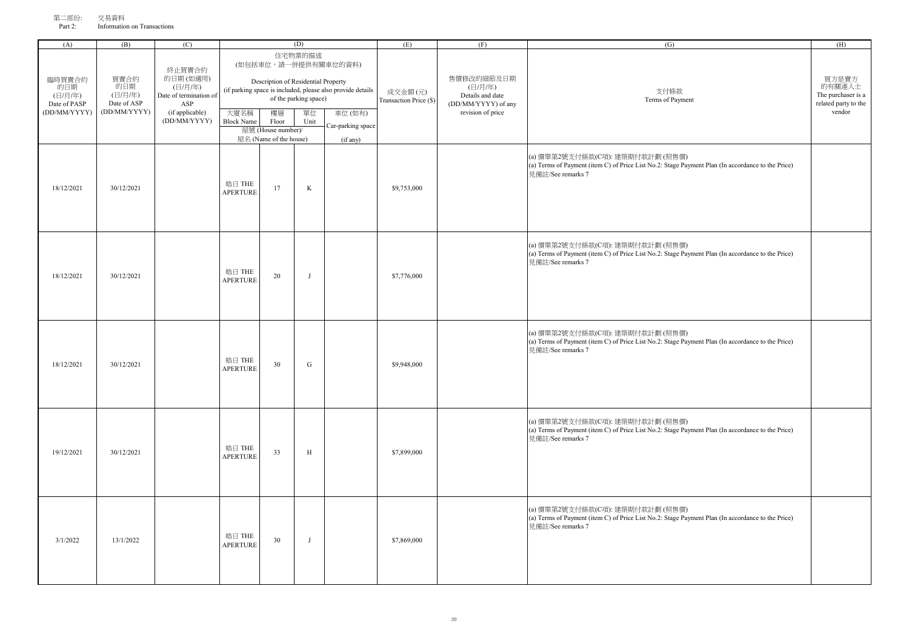| オマーーロッシュ<br>Part 2: | ᄉ୰୵୵୵୳<br>Information on Transactions |   |                                                                                                                                                                                                                                                                                                                                                                                                                                                                                                    |    |
|---------------------|---------------------------------------|---|----------------------------------------------------------------------------------------------------------------------------------------------------------------------------------------------------------------------------------------------------------------------------------------------------------------------------------------------------------------------------------------------------------------------------------------------------------------------------------------------------|----|
| (A`                 | (B)                                   | ◡ |                                                                                                                                                                                                                                                                                                                                                                                                                                                                                                    | (E |
|                     |                                       |   | $f_{\alpha}(\chi_{\alpha},\chi_{\alpha}^{-1}\chi_{\alpha}^{-1})=f_{\alpha}(\chi_{\alpha},\chi_{\alpha}^{-1}\chi_{\alpha}^{-1},\chi_{\alpha}^{-1}\chi_{\alpha}^{-1},\chi_{\alpha}^{-1}\chi_{\alpha}^{-1},\chi_{\alpha}^{-1}\chi_{\alpha}^{-1},\chi_{\alpha}^{-1}\chi_{\alpha}^{-1},\chi_{\alpha}^{-1}\chi_{\alpha}^{-1},\chi_{\alpha}^{-1}\chi_{\alpha}^{-1},\chi_{\alpha}^{-1}\chi_{\alpha}^{-1},\chi_{\alpha}^{-1}\chi_{\alpha}^{-1},\chi_{\alpha}^{-1}\chi_{\alpha}^{-1},\chi_{\alpha}^{-1}\chi$ |    |

| (A)                                            | (B)                                           | (C)                                                         |                           |                                                       | (D)                         |                                                                      | (E)                               | (F)                                                                     | (G)                                                                                                                                                        | (H)                                                            |
|------------------------------------------------|-----------------------------------------------|-------------------------------------------------------------|---------------------------|-------------------------------------------------------|-----------------------------|----------------------------------------------------------------------|-----------------------------------|-------------------------------------------------------------------------|------------------------------------------------------------------------------------------------------------------------------------------------------------|----------------------------------------------------------------|
| 臨時買賣合約                                         | 買賣合約                                          | 終止買賣合約<br>的日期(如適用)                                          |                           | Description of Residential Property                   | 住宅物業的描述                     | (如包括車位,請一併提供有關車位的資料)                                                 |                                   | 售價修改的細節及日期                                                              |                                                                                                                                                            | 買方是賣方                                                          |
| 的日期<br>(日/月/年)<br>Date of PASP<br>(DD/MM/YYYY) | 的日期<br>(日/月/年)<br>Date of ASP<br>(DD/MM/YYYY) | (日/月/年)<br>Date of termination of<br>ASP<br>(if applicable) | 大廈名稱                      | 樓層                                                    | of the parking space)<br>單位 | (if parking space is included, please also provide details<br>車位(如有) | 成交金額(元)<br>Transaction Price (\$) | (日/月/年)<br>Details and date<br>(DD/MM/YYYY) of any<br>revision of price | 支付條款<br>Terms of Payment                                                                                                                                   | 的有關連人士<br>The purchaser is a<br>related party to the<br>vendor |
|                                                |                                               | (DD/MM/YYYY)                                                | <b>Block Name</b>         | Floor<br>屋號 (House number)/<br>屋名 (Name of the house) | Unit                        | Car-parking space<br>(if any)                                        |                                   |                                                                         |                                                                                                                                                            |                                                                |
| 18/12/2021                                     | 30/12/2021                                    |                                                             | 皓日 THE<br><b>APERTURE</b> | 17                                                    | $\rm K$                     |                                                                      | \$9,753,000                       |                                                                         | (a) 價單第2號支付條款(C項): 建築期付款計劃 (照售價)<br>(a) Terms of Payment (item C) of Price List No.2: Stage Payment Plan (In accordance to the Price)<br>見備註/See remarks 7 |                                                                |
| 18/12/2021                                     | 30/12/2021                                    |                                                             | 皓日 THE<br><b>APERTURE</b> | 20                                                    | J                           |                                                                      | \$7,776,000                       |                                                                         | (a) 價單第2號支付條款(C項): 建築期付款計劃 (照售價)<br>(a) Terms of Payment (item C) of Price List No.2: Stage Payment Plan (In accordance to the Price)<br>見備註/See remarks 7 |                                                                |
| 18/12/2021                                     | 30/12/2021                                    |                                                             | 皓日 THE<br><b>APERTURE</b> | 30                                                    | ${\bf G}$                   |                                                                      | \$9,948,000                       |                                                                         | (a) 價單第2號支付條款(C項): 建築期付款計劃 (照售價)<br>(a) Terms of Payment (item C) of Price List No.2: Stage Payment Plan (In accordance to the Price)<br>見備註/See remarks 7 |                                                                |
| 19/12/2021                                     | 30/12/2021                                    |                                                             | 皓日 THE<br><b>APERTURE</b> | 33                                                    | $\, {\rm H}$                |                                                                      | \$7,899,000                       |                                                                         | (a) 價單第2號支付條款(C項): 建築期付款計劃 (照售價)<br>(a) Terms of Payment (item C) of Price List No.2: Stage Payment Plan (In accordance to the Price)<br>見備註/See remarks 7 |                                                                |
| 3/1/2022                                       | 13/1/2022                                     |                                                             | 皓日 THE<br><b>APERTURE</b> | 30                                                    | J                           |                                                                      | \$7,869,000                       |                                                                         | (a) 價單第2號支付條款(C項): 建築期付款計劃 (照售價)<br>(a) Terms of Payment (item C) of Price List No.2: Stage Payment Plan (In accordance to the Price)<br>見備註/See remarks 7 |                                                                |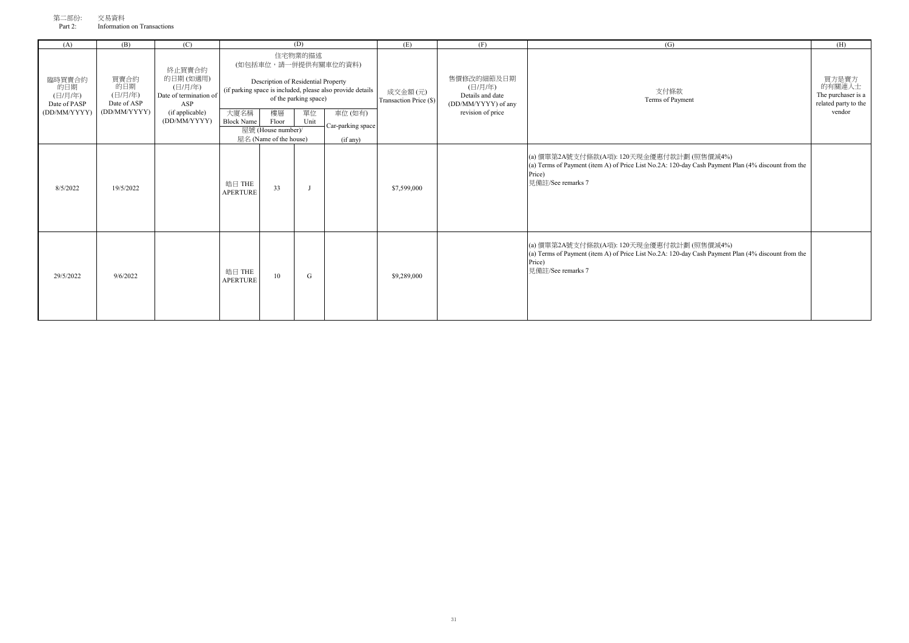| 第二部份:      | 交易資料                        |
|------------|-----------------------------|
| Part $2 -$ | Information on Transactions |

| (A)                                                      | (B)                                                   | (C)                                                                                               | (D)                       |                                                                                                                              |                                                |                                                                                                                               | (E)                               | (F)                                                                                   | (G)                                                                                                                                                                            | (H)                                                                     |
|----------------------------------------------------------|-------------------------------------------------------|---------------------------------------------------------------------------------------------------|---------------------------|------------------------------------------------------------------------------------------------------------------------------|------------------------------------------------|-------------------------------------------------------------------------------------------------------------------------------|-----------------------------------|---------------------------------------------------------------------------------------|--------------------------------------------------------------------------------------------------------------------------------------------------------------------------------|-------------------------------------------------------------------------|
| 臨時買賣合約<br>的日期<br>(日/月/年)<br>Date of PASP<br>(DD/MM/YYYY) | 買賣合約<br>的日期<br>(日/月/年)<br>Date of ASP<br>(DD/MM/YYYY) | 終止買賣合約<br>的日期(如適用)<br>(日/月/年)<br>Date of termination of<br>ASP<br>(if applicable)<br>(DD/MM/YYYY) | 大廈名稱<br><b>Block Name</b> | Description of Residential Property<br>樓層<br>Floor<br>屋號 (House number)/<br>$\mathbb{R}$ $\mathcal{L}_1$ (Name of the house) | 住宅物業的描述<br>of the parking space)<br>單位<br>Unit | (如包括車位,請一併提供有關車位的資料)<br>(if parking space is included, please also provide details<br>車位(如有)<br>Car-parking space<br>(if any) | 成交金額(元)<br>Transaction Price (\$) | 售價修改的細節及日期<br>(日/月/年)<br>Details and date<br>(DD/MM/YYYY) of any<br>revision of price | 支付條款<br>Terms of Payment                                                                                                                                                       | 買方是賣方<br>的有關連人士<br>The purchaser is a<br>related party to the<br>vendor |
| 8/5/2022                                                 | 19/5/2022                                             |                                                                                                   | 皓日 THE<br><b>APERTURE</b> | 33                                                                                                                           |                                                |                                                                                                                               | \$7,599,000                       |                                                                                       | (a) 價單第2A號支付條款(A項): 120天現金優惠付款計劃 (照售價減4%)<br>(a) Terms of Payment (item A) of Price List No.2A: 120-day Cash Payment Plan (4% discount from the<br>Price)<br>見備註/See remarks 7 |                                                                         |
| 29/5/2022                                                | 9/6/2022                                              |                                                                                                   | 皓日 THE<br><b>APERTURE</b> | 10                                                                                                                           | G                                              |                                                                                                                               | \$9,289,000                       |                                                                                       | (a) 價單第2A號支付條款(A項): 120天現金優惠付款計劃 (照售價減4%)<br>(a) Terms of Payment (item A) of Price List No.2A: 120-day Cash Payment Plan (4% discount from the<br>Price)<br>見備註/See remarks 7 |                                                                         |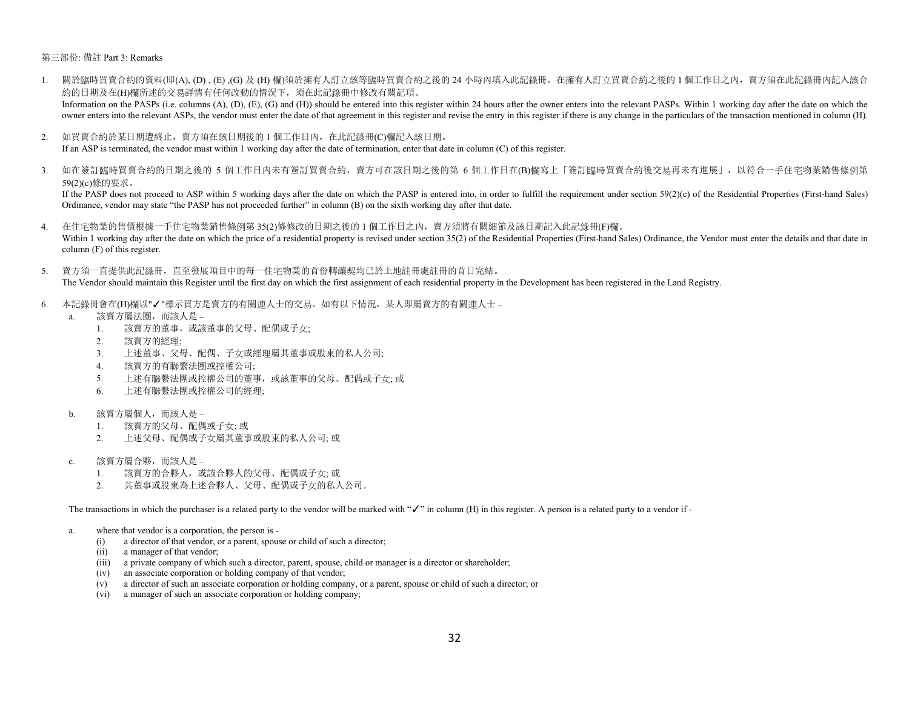## 第三部份: 備註 Part 3: Remarks

- 1. 關於臨時買賣合約的資料(即(A), (D) , (E) ,(G) 及 (H) 欄)須於擁有人訂立該等臨時買賣合約之後的 24 小時內填入此記錄冊。在擁有人訂立買賣合約之後的 1 個工作日之內,賣方須在此記錄冊內記入該合 約的日期及在(H)欄所述的交易詳情有任何改動的情況下,須在此記錄冊中修改有關記項。 Information on the PASPs (i.e. columns (A), (D), (E), (G) and (H)) should be entered into this register within 24 hours after the owner enters into the relevant PASPs. Within 1 working day after the date on which the owner enters into the relevant ASPs, the vendor must enter the date of that agreement in this register and revise the entry in this register if there is any change in the particulars of the transaction mentioned in column
- 2. 如買賣合約於某日期遭終止,賣方須在該日期後的1個工作日內, 在此記錄冊(C)欄記入該日期。

If an ASP is terminated, the vendor must within 1 working day after the date of termination, enter that date in column (C) of this register.

3. 如在簽訂臨時買賣合約的日期之後的 5 個工作日内未有簽訂買賣合約,賣方可在該日期之後的第 6 個工作日在(B)欄寫上「簽訂臨時買賣合約後交易再未有進展」,以符合一手住宅物業銷售條例第 59(2)(c)條的要求。

If the PASP does not proceed to ASP within 5 working days after the date on which the PASP is entered into, in order to fulfill the requirement under section 59(2)(c) of the Residential Properties (First-hand Sales) Ordinance, vendor may state "the PASP has not proceeded further" in column (B) on the sixth working day after that date.

- 4. 在住宅物業的售價根據一手住宅物業銷售條例第 35(2)條修改的日期之後的 1 個工作日之內,賣方須將有關細節及該日期記入此記錄冊(F)欄。 Within 1 working day after the date on which the price of a residential property is revised under section 35(2) of the Residential Properties (First-hand Sales) Ordinance, the Vendor must enter the details and that date in column (F) of this register.
- 5. 賣方須一直提供此記錄冊,直至發展項目中的每一住宅物業的首份轉讓契均已於土地註冊處註冊的首日完結。

The Vendor should maintain this Register until the first day on which the first assignment of each residential property in the Development has been registered in the Land Registry.

- 6. 本記錄冊會在(H)欄以"✓"標示買方是賣方的有關連人士的交易。如有以下情況,某人即屬賣方的有關連人士
	- a. 該賣方屬法團,而該人是
		- 1. 該賣方的董事,或該董事的父母、配偶或子女;
		- 2. 該賣方的經理;
		- 3. 上述董事、父母、配偶、子女或經理屬其董事或股東的私人公司;
		- 4. 該賣方的有聯繫法團或控權公司;
		- 5. 上述有聯繫法團或控權公司的董事,或該董事的父母、配偶或子女; 或
		- 6. 上述有聯繫法團或控權公司的經理;
	- b. 該賣方屬個人,而該人是
		- 1. 該賣方的父母、配偶或子女; 或
		- 2. 上述父母、配偶或子女屬其董事或股東的私人公司; 或
	- c. 該賣方屬合夥,而該人是
		- 1. 該賣方的合夥人,或該合夥人的父母、配偶或子女; 或
		- 2. 其董事或股東為上述合夥人、父母、配偶或子女的私人公司。

The transactions in which the purchaser is a related party to the vendor will be marked with "✓" in column (H) in this register. A person is a related party to a vendor if -

- a. where that vendor is a corporation, the person is
	- (i) a director of that vendor, or a parent, spouse or child of such a director;
	- (ii) a manager of that vendor;
	- (iii) a private company of which such a director, parent, spouse, child or manager is a director or shareholder;
	- (iv) an associate corporation or holding company of that vendor;
	- (v) a director of such an associate corporation or holding company, or a parent, spouse or child of such a director; or
	- (vi) a manager of such an associate corporation or holding company;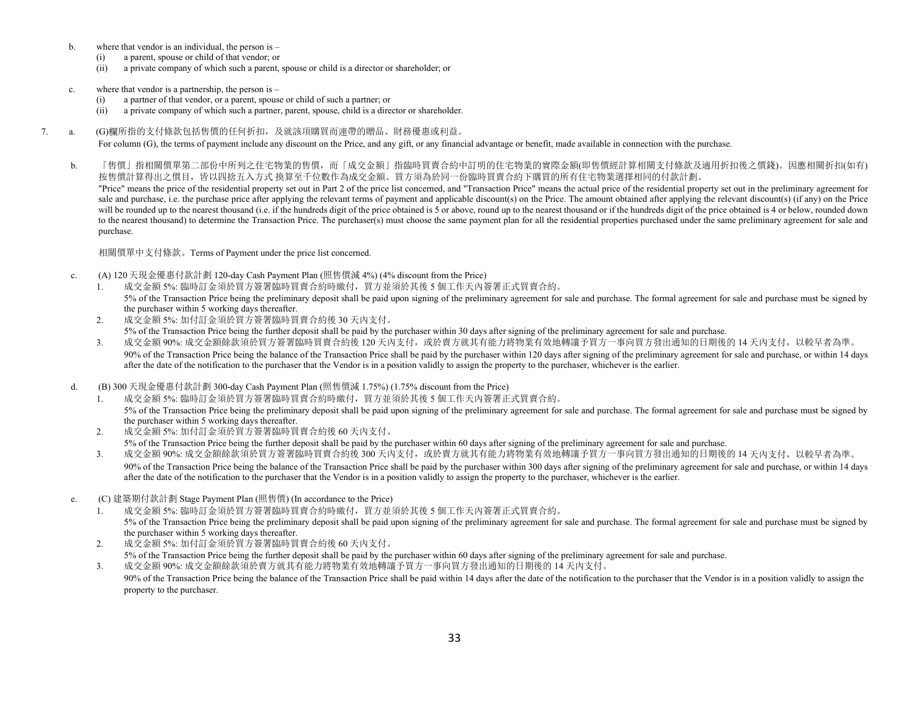- b. where that vendor is an individual, the person is
	- (i) a parent, spouse or child of that vendor; or
	- (ii) a private company of which such a parent, spouse or child is a director or shareholder; or
- c. where that vendor is a partnership, the person is
	- (i) a partner of that vendor, or a parent, spouse or child of such a partner; or
	- (ii) a private company of which such a partner, parent, spouse, child is a director or shareholder.
- 7. a. (G)欄所指的支付條款包括售價的任何折扣,及就該項購買而連帶的贈品、財務優惠或利益。

For column (G), the terms of payment include any discount on the Price, and any gift, or any financial advantage or benefit, made available in connection with the purchase.

b. 「售價」指相關價單第二部份中所列之住宅物業的售價,而「成交金額」指臨時買賣合約中訂明的住宅物業的實際金額(即售價經計算相關支付條款及適用折扣後之價錢)。因應相關折扣(如有) 按售價計算得出之價目,皆以四捨五入方式 換算至千位數作為成交金額。買方須為於同一份臨時買賣合約下購買的所有住宅物業選擇相同的付款計劃。 "Price" means the price of the residential property set out in Part 2 of the price list concerned, and "Transaction Price" means the actual price of the residential property set out in the preliminary agreement for sale and purchase, i.e. the purchase price after applying the relevant terms of payment and applicable discount(s) on the Price. The amount obtained after applying the relevant discount(s) (if any) on the Price will be rounded up to the nearest thousand (i.e. if the hundreds digit of the price obtained is 5 or above, round up to the nearest thousand or if the hundreds digit of the price obtained is 4 or below, rounded down to the nearest thousand) to determine the Transaction Price. The purchaser(s) must choose the same payment plan for all the residential properties purchased under the same preliminary agreement for sale and purchase.

相關價單中支付條款。Terms of Payment under the price list concerned.

- c. (A) 120 天現金優惠付款計劃 120-day Cash Payment Plan (照售價減 4%) (4% discount from the Price)
	- 1. 成交金額 5%: 臨時訂金須於買方簽署臨時買賣合約時繳付,買方並須於其後 5 個工作天內簽署正式買賣合約。 5% of the Transaction Price being the preliminary deposit shall be paid upon signing of the preliminary agreement for sale and purchase. The formal agreement for sale and purchase must be signed by the purchaser within 5 working days thereafter.
	- 2. 成交金額 5%: 加付訂金須於買方簽署臨時買賣合約後 30 天內支付。 5% of the Transaction Price being the further deposit shall be paid by the purchaser within 30 days after signing of the preliminary agreement for sale and purchase.
	- 3. 放交金額 90%: 成交金額餘款須於買方簽署臨時買賣合約後 120 天内支付,或於賣方就其有能力將物業有效地轉讓予買方一事向買方發出通知的日期後的 14 天内支付,以較早者為準。 90% of the Transaction Price being the balance of the Transaction Price shall be paid by the purchaser within 120 days after signing of the preliminary agreement for sale and purchase, or within 14 days after the date of the notification to the purchaser that the Vendor is in a position validly to assign the property to the purchaser, whichever is the earlier.
- d. (B) 300 天現金優惠付款計劃 300-day Cash Payment Plan (照售價減 1.75%) (1.75% discount from the Price)
	- 1. 成交金額 5%: 臨時訂金須於買方簽署臨時買賣合約時繳付,買方並須於其後 5 個工作天內簽署正式買賣合約。 5% of the Transaction Price being the preliminary deposit shall be paid upon signing of the preliminary agreement for sale and purchase. The formal agreement for sale and purchase must be signed by the purchaser within 5 working days thereafter.
	- 2. 成交金額 5%: 加付訂金須於買方簽署臨時買賣合約後 60 天內支付。

5% of the Transaction Price being the further deposit shall be paid by the purchaser within 60 days after signing of the preliminary agreement for sale and purchase.

3. 放交金額的 50%:成交金額餘款須於買方簽署臨時買賣合約後 300 天內支付,或於賣方就其有能力將物業有效地轉讓予買方一事向買方發出通知的日期後的 14 天內支付,以較早者為準。

90% of the Transaction Price being the balance of the Transaction Price shall be paid by the purchaser within 300 days after signing of the preliminary agreement for sale and purchase, or within 14 days after the date of the notification to the purchaser that the Vendor is in a position validly to assign the property to the purchaser, whichever is the earlier.

- e. (C) 建築期付款計劃 Stage Payment Plan (照售價) (In accordance to the Price)
	- 1. 成交金額 5%: 臨時訂金須於買方簽署臨時買賣合約時繳付,買方並須於其後 5 個工作天內簽署正式買賣合約。 5% of the Transaction Price being the preliminary deposit shall be paid upon signing of the preliminary agreement for sale and purchase. The formal agreement for sale and purchase must be signed by the purchaser within 5 working days thereafter.
	- 2. 成交金額 5%: 加付訂金須於買方簽署臨時買賣合約後 60 天內支付。

5% of the Transaction Price being the further deposit shall be paid by the purchaser within 60 days after signing of the preliminary agreement for sale and purchase. 3. 成交金額 90%: 成交金額餘款須於賣方就其有能力將物業有效地轉讓予買方一事向買方發出通知的日期後的 14 天內支付。 90% of the Transaction Price being the balance of the Transaction Price shall be paid within 14 days after the date of the notification to the purchaser that the Vendor is in a position validly to assign the property to the purchaser.